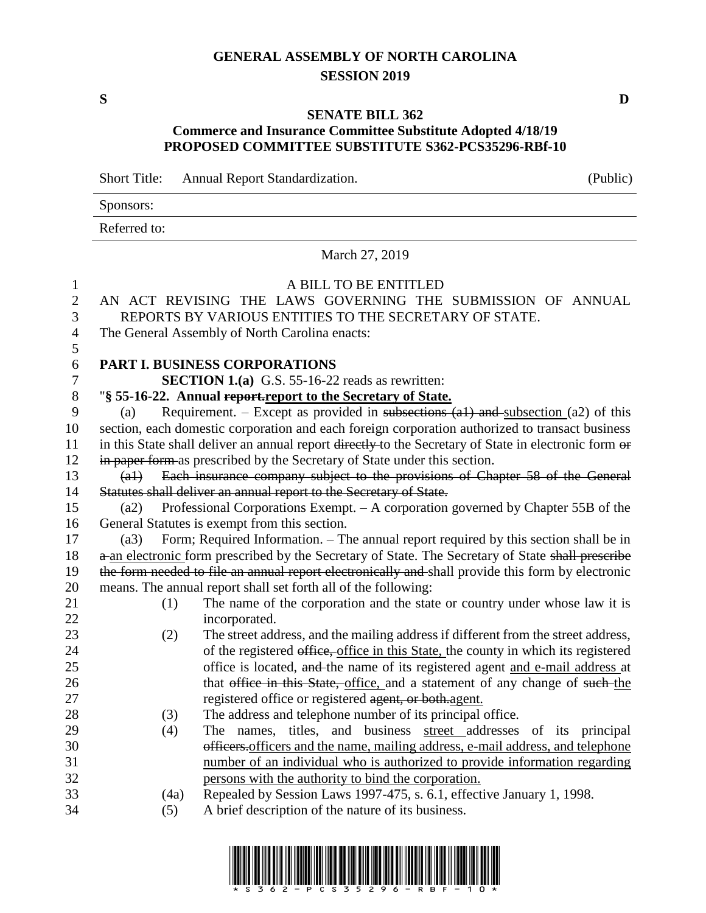### **GENERAL ASSEMBLY OF NORTH CAROLINA SESSION 2019**

**S D**

#### **SENATE BILL 362**

### **Commerce and Insurance Committee Substitute Adopted 4/18/19 PROPOSED COMMITTEE SUBSTITUTE S362-PCS35296-RBf-10**

Short Title: Annual Report Standardization. (Public)

| Sponsors:    |                         |  |
|--------------|-------------------------|--|
| Referred to: |                         |  |
|              | March 27, 2019          |  |
|              | A RILL TO RE ENTITI ED. |  |

| $\mathbf{1}$   |                                                | A BILL TO BE ENTITLED                                                                                 |  |
|----------------|------------------------------------------------|-------------------------------------------------------------------------------------------------------|--|
| $\sqrt{2}$     |                                                | AN ACT REVISING THE LAWS GOVERNING THE SUBMISSION OF ANNUAL                                           |  |
| 3              |                                                | REPORTS BY VARIOUS ENTITIES TO THE SECRETARY OF STATE.                                                |  |
| $\overline{4}$ | The General Assembly of North Carolina enacts: |                                                                                                       |  |
| 5              |                                                |                                                                                                       |  |
| 6              |                                                | PART I. BUSINESS CORPORATIONS                                                                         |  |
| $\tau$         |                                                | <b>SECTION 1.(a)</b> G.S. $55-16-22$ reads as rewritten:                                              |  |
| 8              |                                                | "§ 55-16-22. Annual report report to the Secretary of State.                                          |  |
| 9              | (a)                                            | Requirement. – Except as provided in subsections $(a1)$ and subsection $(a2)$ of this                 |  |
| 10             |                                                | section, each domestic corporation and each foreign corporation authorized to transact business       |  |
| 11             |                                                | in this State shall deliver an annual report directly to the Secretary of State in electronic form or |  |
| 12             |                                                | in paper form as prescribed by the Secretary of State under this section.                             |  |
| 13             | $(a+)$                                         | Each insurance company subject to the provisions of Chapter 58 of the General                         |  |
| 14             |                                                | Statutes shall deliver an annual report to the Secretary of State.                                    |  |
| 15             | (a2)                                           | Professional Corporations Exempt. – A corporation governed by Chapter 55B of the                      |  |
| 16             |                                                | General Statutes is exempt from this section.                                                         |  |
| 17             | (a3)                                           | Form; Required Information. – The annual report required by this section shall be in                  |  |
| 18             |                                                | a an electronic form prescribed by the Secretary of State. The Secretary of State shall prescribe     |  |
| 19             |                                                | the form needed to file an annual report electronically and shall provide this form by electronic     |  |
| 20             |                                                | means. The annual report shall set forth all of the following:                                        |  |
| 21             | (1)                                            | The name of the corporation and the state or country under whose law it is                            |  |
| 22             |                                                | incorporated.                                                                                         |  |
| 23             | (2)                                            | The street address, and the mailing address if different from the street address,                     |  |
| 24             |                                                | of the registered office, office in this State, the county in which its registered                    |  |
| 25             |                                                | office is located, and the name of its registered agent and e-mail address at                         |  |
| 26             |                                                | that office in this State, office, and a statement of any change of such the                          |  |
| 27             |                                                | registered office or registered agent, or both agent.                                                 |  |
| 28             | (3)                                            | The address and telephone number of its principal office.                                             |  |
| 29             | (4)                                            | The names, titles, and business street addresses of its principal                                     |  |
| 30             |                                                | officers.officers and the name, mailing address, e-mail address, and telephone                        |  |
| 31             |                                                | number of an individual who is authorized to provide information regarding                            |  |
| 32             |                                                | persons with the authority to bind the corporation.                                                   |  |
| 33             | (4a)                                           | Repealed by Session Laws 1997-475, s. 6.1, effective January 1, 1998.                                 |  |
| 34             | (5)                                            | A brief description of the nature of its business.                                                    |  |
|                |                                                |                                                                                                       |  |

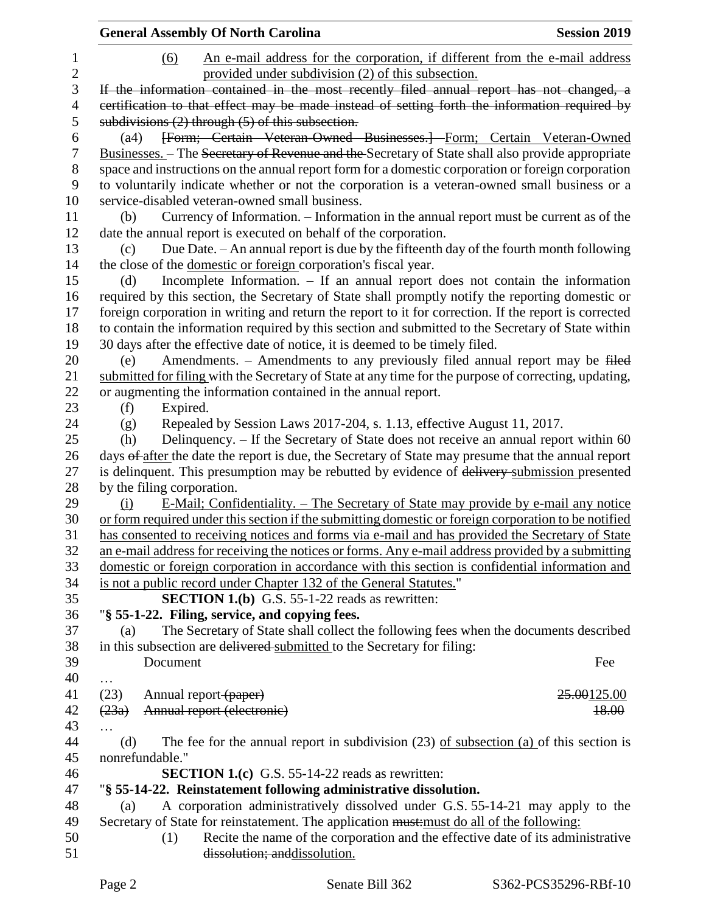|              | <b>General Assembly Of North Carolina</b><br><b>Session 2019</b>                                                                                                           |
|--------------|----------------------------------------------------------------------------------------------------------------------------------------------------------------------------|
| $\mathbf{1}$ | An e-mail address for the corporation, if different from the e-mail address<br>(6)                                                                                         |
| $\mathbf{2}$ | provided under subdivision (2) of this subsection.                                                                                                                         |
| 3            | If the information contained in the most recently filed annual report has not changed, a                                                                                   |
| 4            | certification to that effect may be made instead of setting forth the information required by                                                                              |
| 5            | subdivisions $(2)$ through $(5)$ of this subsection.                                                                                                                       |
| 6            | [Form; Certain Veteran-Owned Businesses.] Form; Certain Veteran-Owned<br>(a4)                                                                                              |
| 7            | Businesses. - The Secretary of Revenue and the Secretary of State shall also provide appropriate                                                                           |
| 8            | space and instructions on the annual report form for a domestic corporation or foreign corporation                                                                         |
| 9            | to voluntarily indicate whether or not the corporation is a veteran-owned small business or a                                                                              |
| 10           | service-disabled veteran-owned small business.                                                                                                                             |
| 11           | Currency of Information. – Information in the annual report must be current as of the<br>(b)                                                                               |
| 12           | date the annual report is executed on behalf of the corporation.                                                                                                           |
| 13           | Due Date. - An annual report is due by the fifteenth day of the fourth month following<br>(c)                                                                              |
| 14           | the close of the domestic or foreign corporation's fiscal year.                                                                                                            |
| 15           | Incomplete Information. - If an annual report does not contain the information<br>(d)                                                                                      |
| 16           | required by this section, the Secretary of State shall promptly notify the reporting domestic or                                                                           |
| 17           | foreign corporation in writing and return the report to it for correction. If the report is corrected                                                                      |
| 18           | to contain the information required by this section and submitted to the Secretary of State within                                                                         |
| 19           | 30 days after the effective date of notice, it is deemed to be timely filed.                                                                                               |
| 20           | Amendments. - Amendments to any previously filed annual report may be filed<br>(e)                                                                                         |
| 21           | submitted for filing with the Secretary of State at any time for the purpose of correcting, updating,                                                                      |
| 22           | or augmenting the information contained in the annual report.                                                                                                              |
| 23           | Expired.<br>(f)                                                                                                                                                            |
| 24           | Repealed by Session Laws 2017-204, s. 1.13, effective August 11, 2017.                                                                                                     |
| 25           | (g)<br>Delinquency. - If the Secretary of State does not receive an annual report within 60<br>(h)                                                                         |
| 26           | days of after the date the report is due, the Secretary of State may presume that the annual report                                                                        |
| 27           | is delinquent. This presumption may be rebutted by evidence of delivery submission presented                                                                               |
| 28           | by the filing corporation.                                                                                                                                                 |
| 29           | <u>E-Mail; Confidentiality. – The Secretary of State may provide by e-mail any notice</u><br>(i)                                                                           |
| 30           | or form required under this section if the submitting domestic or foreign corporation to be notified                                                                       |
| 31           | has consented to receiving notices and forms via e-mail and has provided the Secretary of State                                                                            |
| 32           | an e-mail address for receiving the notices or forms. Any e-mail address provided by a submitting                                                                          |
| 33           | domestic or foreign corporation in accordance with this section is confidential information and                                                                            |
| 34           | is not a public record under Chapter 132 of the General Statutes."                                                                                                         |
| 35           | <b>SECTION 1.(b)</b> G.S. 55-1-22 reads as rewritten:                                                                                                                      |
| 36           | "§ 55-1-22. Filing, service, and copying fees.                                                                                                                             |
| 37           | The Secretary of State shall collect the following fees when the documents described<br>(a)                                                                                |
| 38           | in this subsection are delivered submitted to the Secretary for filing:                                                                                                    |
| 39           | Document<br>Fee                                                                                                                                                            |
| 40           |                                                                                                                                                                            |
| 41           | .<br>(23)<br>Annual report (paper)<br>25.00125.00                                                                                                                          |
| 42           | Annual report (electronic)<br>(23a)<br>18.00                                                                                                                               |
| 43           |                                                                                                                                                                            |
| 44           | The fee for the annual report in subdivision $(23)$ of subsection $(a)$ of this section is<br>(d)                                                                          |
| 45           | nonrefundable."                                                                                                                                                            |
| 46           | <b>SECTION 1.(c)</b> G.S. 55-14-22 reads as rewritten:                                                                                                                     |
| 47           | "§ 55-14-22. Reinstatement following administrative dissolution.                                                                                                           |
| 48           | (a)                                                                                                                                                                        |
| 49           | A corporation administratively dissolved under G.S. 55-14-21 may apply to the<br>Secretary of State for reinstatement. The application must: must do all of the following: |
| 50           | Recite the name of the corporation and the effective date of its administrative                                                                                            |
|              | (1)<br>dissolution; and dissolution.                                                                                                                                       |
| 51           |                                                                                                                                                                            |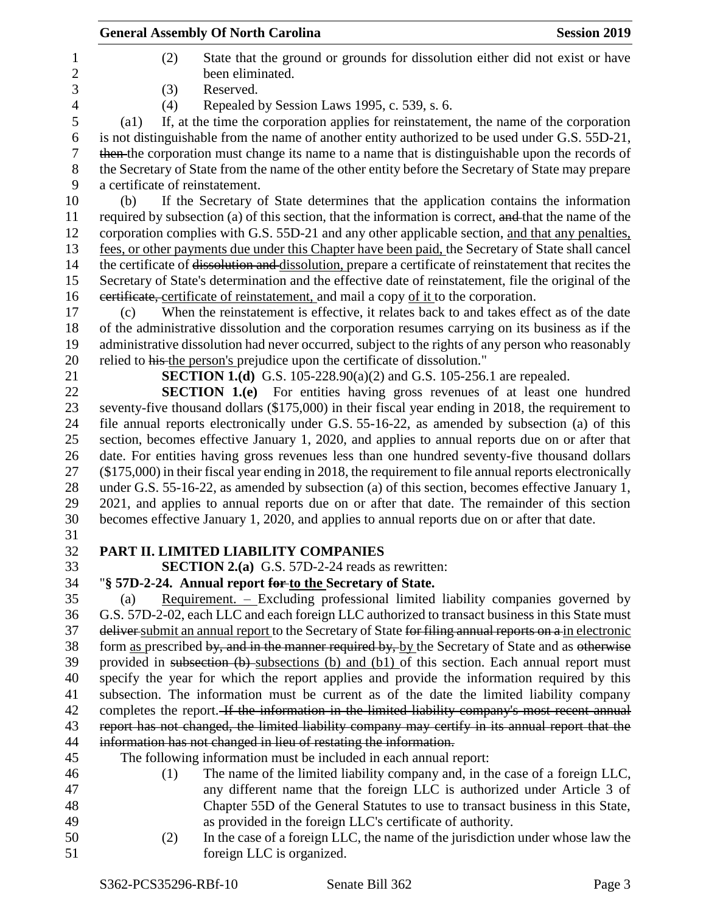|                     | <b>General Assembly Of North Carolina</b><br><b>Session 2019</b>                                             |
|---------------------|--------------------------------------------------------------------------------------------------------------|
| 1                   | State that the ground or grounds for dissolution either did not exist or have<br>(2)<br>been eliminated.     |
| $\overline{c}$<br>3 | Reserved.                                                                                                    |
|                     | (3)                                                                                                          |
| $\overline{4}$      | Repealed by Session Laws 1995, c. 539, s. 6.<br>(4)                                                          |
| 5                   | If, at the time the corporation applies for reinstatement, the name of the corporation<br>$\left( a1\right)$ |
| 6                   | is not distinguishable from the name of another entity authorized to be used under G.S. 55D-21,              |
| 7                   | then the corporation must change its name to a name that is distinguishable upon the records of              |
| $8\,$               | the Secretary of State from the name of the other entity before the Secretary of State may prepare           |
| 9                   | a certificate of reinstatement.                                                                              |
| 10                  | If the Secretary of State determines that the application contains the information<br>(b)                    |
| 11                  | required by subsection (a) of this section, that the information is correct, and that the name of the        |
| 12                  | corporation complies with G.S. 55D-21 and any other applicable section, and that any penalties,              |
| 13                  | fees, or other payments due under this Chapter have been paid, the Secretary of State shall cancel           |
| 14                  | the certificate of dissolution and dissolution, prepare a certificate of reinstatement that recites the      |
| 15                  | Secretary of State's determination and the effective date of reinstatement, file the original of the         |
| 16                  | eertificate, certificate of reinstatement, and mail a copy of it to the corporation.                         |
| 17                  | When the reinstatement is effective, it relates back to and takes effect as of the date<br>(c)               |
| 18                  | of the administrative dissolution and the corporation resumes carrying on its business as if the             |
| 19                  | administrative dissolution had never occurred, subject to the rights of any person who reasonably            |
| 20                  | relied to his the person's prejudice upon the certificate of dissolution."                                   |
| 21                  | <b>SECTION 1.(d)</b> G.S. 105-228.90(a)(2) and G.S. 105-256.1 are repealed.                                  |
| 22                  | <b>SECTION 1.(e)</b> For entities having gross revenues of at least one hundred                              |
| 23                  | seventy-five thousand dollars (\$175,000) in their fiscal year ending in 2018, the requirement to            |
| 24                  | file annual reports electronically under G.S. 55-16-22, as amended by subsection (a) of this                 |
| 25                  | section, becomes effective January 1, 2020, and applies to annual reports due on or after that               |
| 26                  | date. For entities having gross revenues less than one hundred seventy-five thousand dollars                 |
| 27                  | $(\$175,000)$ in their fiscal year ending in 2018, the requirement to file annual reports electronically     |
| 28                  | under G.S. 55-16-22, as amended by subsection (a) of this section, becomes effective January 1,              |
| 29                  | 2021, and applies to annual reports due on or after that date. The remainder of this section                 |
| 30                  | becomes effective January 1, 2020, and applies to annual reports due on or after that date.                  |
| 31                  |                                                                                                              |
| 32                  | PART II. LIMITED LIABILITY COMPANIES                                                                         |
| 33                  | <b>SECTION 2.(a)</b> G.S. 57D-2-24 reads as rewritten:                                                       |
| 34                  | "§ 57D-2-24. Annual report for to the Secretary of State.                                                    |
| 35                  | Requirement. $-$ Excluding professional limited liability companies governed by<br>(a)                       |
| 36                  | G.S. 57D-2-02, each LLC and each foreign LLC authorized to transact business in this State must              |
| 37                  | deliver submit an annual report to the Secretary of State for filing annual reports on a in electronic       |
| 38                  | form as prescribed by, and in the manner required by, by the Secretary of State and as otherwise             |
| 39                  | provided in subsection $(b)$ -subsections $(b)$ and $(b1)$ of this section. Each annual report must          |
| 40                  | specify the year for which the report applies and provide the information required by this                   |
| 41                  | subsection. The information must be current as of the date the limited liability company                     |
| 42                  | completes the report. If the information in the limited liability company's most recent annual               |
| 43                  | report has not changed, the limited liability company may certify in its annual report that the              |
| 44                  | information has not changed in lieu of restating the information.                                            |
| 45                  | The following information must be included in each annual report:                                            |
| 46                  | The name of the limited liability company and, in the case of a foreign LLC,<br>(1)                          |
| 47                  | any different name that the foreign LLC is authorized under Article 3 of                                     |
| 48                  | Chapter 55D of the General Statutes to use to transact business in this State,                               |
| 49                  | as provided in the foreign LLC's certificate of authority.                                                   |
| 50                  | In the case of a foreign LLC, the name of the jurisdiction under whose law the<br>(2)                        |
| 51                  | foreign LLC is organized.                                                                                    |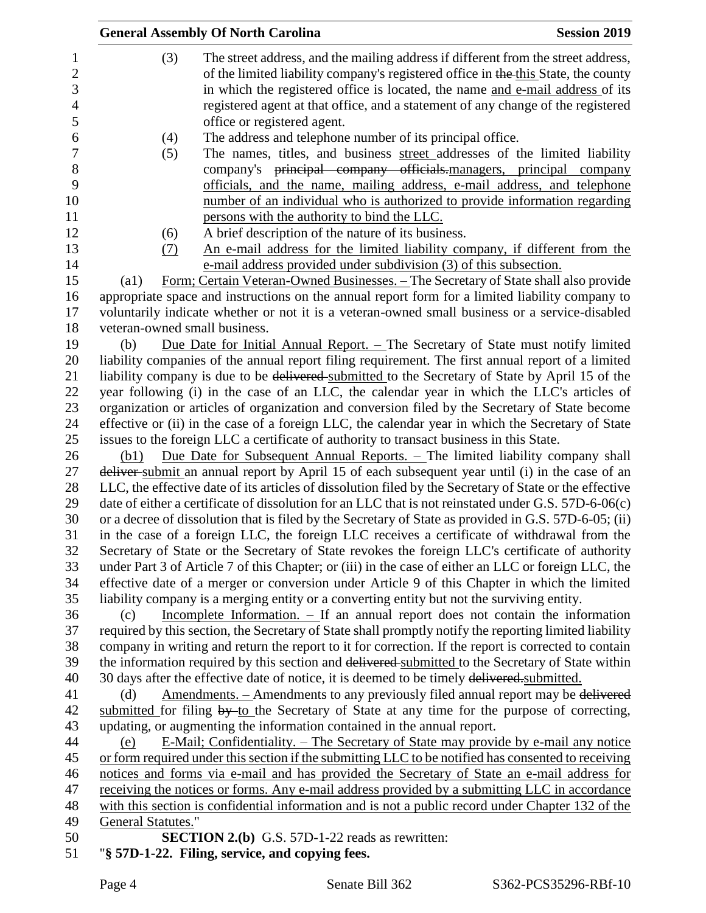|                           | <b>General Assembly Of North Carolina</b>                                                               | <b>Session 2019</b> |
|---------------------------|---------------------------------------------------------------------------------------------------------|---------------------|
| (3)                       | The street address, and the mailing address if different from the street address,                       |                     |
|                           | of the limited liability company's registered office in the this State, the county                      |                     |
|                           | in which the registered office is located, the name and e-mail address of its                           |                     |
|                           |                                                                                                         |                     |
|                           | registered agent at that office, and a statement of any change of the registered                        |                     |
|                           | office or registered agent.                                                                             |                     |
| (4)                       | The address and telephone number of its principal office.                                               |                     |
| (5)                       | The names, titles, and business street addresses of the limited liability                               |                     |
|                           | company's principal company officials-managers, principal company                                       |                     |
|                           | officials, and the name, mailing address, e-mail address, and telephone                                 |                     |
|                           | number of an individual who is authorized to provide information regarding                              |                     |
|                           | persons with the authority to bind the LLC.                                                             |                     |
| (6)                       | A brief description of the nature of its business.                                                      |                     |
| (7)                       | An e-mail address for the limited liability company, if different from the                              |                     |
|                           | e-mail address provided under subdivision (3) of this subsection.                                       |                     |
| $\left( a1\right)$        | Form; Certain Veteran-Owned Businesses. - The Secretary of State shall also provide                     |                     |
|                           | appropriate space and instructions on the annual report form for a limited liability company to         |                     |
|                           | voluntarily indicate whether or not it is a veteran-owned small business or a service-disabled          |                     |
|                           | veteran-owned small business.                                                                           |                     |
| (b)                       | <u>Due Date for Initial Annual Report. - The Secretary of State must notify limited</u>                 |                     |
|                           | liability companies of the annual report filing requirement. The first annual report of a limited       |                     |
|                           | liability company is due to be delivered submitted to the Secretary of State by April 15 of the         |                     |
|                           | year following (i) in the case of an LLC, the calendar year in which the LLC's articles of              |                     |
|                           | organization or articles of organization and conversion filed by the Secretary of State become          |                     |
|                           | effective or (ii) in the case of a foreign LLC, the calendar year in which the Secretary of State       |                     |
|                           | issues to the foreign LLC a certificate of authority to transact business in this State.                |                     |
| (b1)                      | <u>Due Date for Subsequent Annual Reports. – The limited liability company shall</u>                    |                     |
|                           | deliver submit an annual report by April 15 of each subsequent year until (i) in the case of an         |                     |
|                           | LLC, the effective date of its articles of dissolution filed by the Secretary of State or the effective |                     |
|                           | date of either a certificate of dissolution for an LLC that is not reinstated under G.S. $57D-6-06(c)$  |                     |
|                           | or a decree of dissolution that is filed by the Secretary of State as provided in G.S. 57D-6-05; (ii)   |                     |
|                           | in the case of a foreign LLC, the foreign LLC receives a certificate of withdrawal from the             |                     |
|                           | Secretary of State or the Secretary of State revokes the foreign LLC's certificate of authority         |                     |
|                           | under Part 3 of Article 7 of this Chapter; or (iii) in the case of either an LLC or foreign LLC, the    |                     |
|                           | effective date of a merger or conversion under Article 9 of this Chapter in which the limited           |                     |
|                           | liability company is a merging entity or a converting entity but not the surviving entity.              |                     |
| (c)                       | Incomplete Information. $-$ If an annual report does not contain the information                        |                     |
|                           | required by this section, the Secretary of State shall promptly notify the reporting limited liability  |                     |
|                           | company in writing and return the report to it for correction. If the report is corrected to contain    |                     |
|                           | the information required by this section and delivered submitted to the Secretary of State within       |                     |
|                           | 30 days after the effective date of notice, it is deemed to be timely delivered submitted.              |                     |
| (d)                       | Amendments. - Amendments to any previously filed annual report may be delivered                         |                     |
|                           | submitted for filing by to the Secretary of State at any time for the purpose of correcting,            |                     |
|                           | updating, or augmenting the information contained in the annual report.                                 |                     |
| (e)                       | <u>E-Mail; Confidentiality. – The Secretary of State may provide by e-mail any notice</u>               |                     |
|                           | or form required under this section if the submitting LLC to be notified has consented to receiving     |                     |
|                           | notices and forms via e-mail and has provided the Secretary of State an e-mail address for              |                     |
|                           | receiving the notices or forms. Any e-mail address provided by a submitting LLC in accordance           |                     |
|                           | with this section is confidential information and is not a public record under Chapter 132 of the       |                     |
| <b>General Statutes."</b> |                                                                                                         |                     |
|                           | <b>SECTION 2.(b)</b> G.S. 57D-1-22 reads as rewritten:                                                  |                     |
|                           | "§ 57D-1-22. Filing, service, and copying fees.                                                         |                     |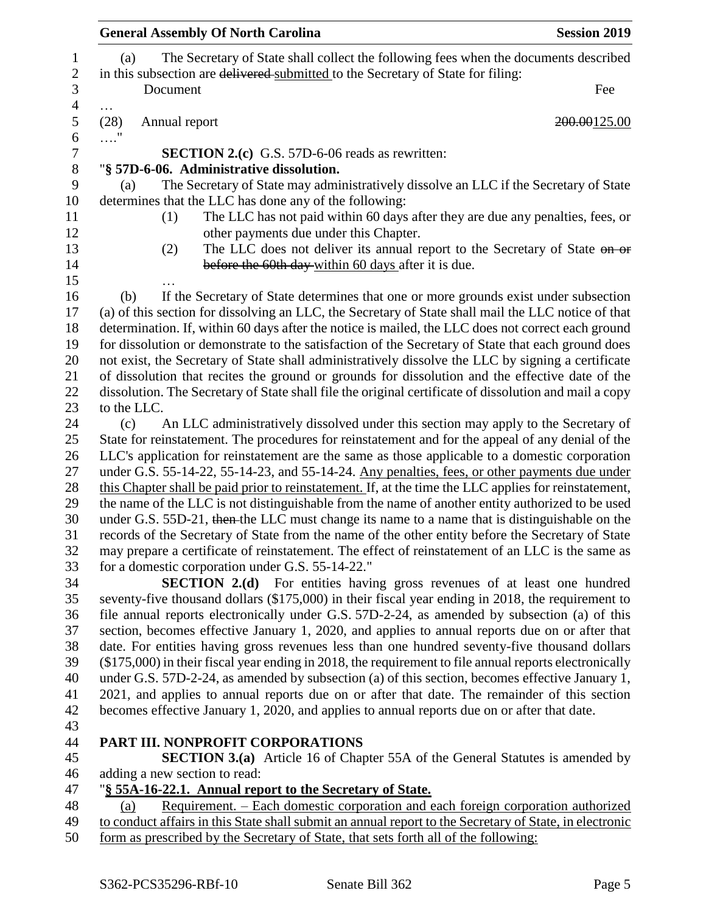| <b>General Assembly Of North Carolina</b>                                                                                                                                                           | <b>Session 2019</b> |
|-----------------------------------------------------------------------------------------------------------------------------------------------------------------------------------------------------|---------------------|
| The Secretary of State shall collect the following fees when the documents described<br>(a)                                                                                                         |                     |
| in this subsection are delivered submitted to the Secretary of State for filing:                                                                                                                    |                     |
| Document                                                                                                                                                                                            | Fee                 |
| .<br>(28)<br>Annual report                                                                                                                                                                          | 200.00125.00        |
|                                                                                                                                                                                                     |                     |
| <b>SECTION 2.(c)</b> G.S. 57D-6-06 reads as rewritten:                                                                                                                                              |                     |
| "§ 57D-6-06. Administrative dissolution.                                                                                                                                                            |                     |
| The Secretary of State may administratively dissolve an LLC if the Secretary of State<br>(a)                                                                                                        |                     |
| determines that the LLC has done any of the following:                                                                                                                                              |                     |
| The LLC has not paid within 60 days after they are due any penalties, fees, or<br>(1)                                                                                                               |                     |
| other payments due under this Chapter.                                                                                                                                                              |                     |
| The LLC does not deliver its annual report to the Secretary of State on or<br>(2)                                                                                                                   |                     |
| before the 60th day within 60 days after it is due.                                                                                                                                                 |                     |
|                                                                                                                                                                                                     |                     |
| If the Secretary of State determines that one or more grounds exist under subsection<br>(b)                                                                                                         |                     |
| (a) of this section for dissolving an LLC, the Secretary of State shall mail the LLC notice of that                                                                                                 |                     |
| determination. If, within 60 days after the notice is mailed, the LLC does not correct each ground                                                                                                  |                     |
| for dissolution or demonstrate to the satisfaction of the Secretary of State that each ground does                                                                                                  |                     |
| not exist, the Secretary of State shall administratively dissolve the LLC by signing a certificate                                                                                                  |                     |
| of dissolution that recites the ground or grounds for dissolution and the effective date of the                                                                                                     |                     |
| dissolution. The Secretary of State shall file the original certificate of dissolution and mail a copy                                                                                              |                     |
| to the LLC.                                                                                                                                                                                         |                     |
| An LLC administratively dissolved under this section may apply to the Secretary of<br>(c)                                                                                                           |                     |
| State for reinstatement. The procedures for reinstatement and for the appeal of any denial of the<br>LLC's application for reinstatement are the same as those applicable to a domestic corporation |                     |
| under G.S. 55-14-22, 55-14-23, and 55-14-24. Any penalties, fees, or other payments due under                                                                                                       |                     |
| this Chapter shall be paid prior to reinstatement. If, at the time the LLC applies for reinstatement,                                                                                               |                     |
| the name of the LLC is not distinguishable from the name of another entity authorized to be used                                                                                                    |                     |
| under G.S. 55D-21, then the LLC must change its name to a name that is distinguishable on the                                                                                                       |                     |
| records of the Secretary of State from the name of the other entity before the Secretary of State                                                                                                   |                     |
| may prepare a certificate of reinstatement. The effect of reinstatement of an LLC is the same as                                                                                                    |                     |
| for a domestic corporation under G.S. 55-14-22."                                                                                                                                                    |                     |
| SECTION 2.(d) For entities having gross revenues of at least one hundred                                                                                                                            |                     |
| seventy-five thousand dollars (\$175,000) in their fiscal year ending in 2018, the requirement to                                                                                                   |                     |
| file annual reports electronically under G.S. 57D-2-24, as amended by subsection (a) of this                                                                                                        |                     |
| section, becomes effective January 1, 2020, and applies to annual reports due on or after that                                                                                                      |                     |
| date. For entities having gross revenues less than one hundred seventy-five thousand dollars                                                                                                        |                     |
| $(\$175,000)$ in their fiscal year ending in 2018, the requirement to file annual reports electronically                                                                                            |                     |
| under G.S. 57D-2-24, as amended by subsection (a) of this section, becomes effective January 1,                                                                                                     |                     |
| 2021, and applies to annual reports due on or after that date. The remainder of this section                                                                                                        |                     |
| becomes effective January 1, 2020, and applies to annual reports due on or after that date.                                                                                                         |                     |
|                                                                                                                                                                                                     |                     |
| PART III. NONPROFIT CORPORATIONS                                                                                                                                                                    |                     |
| <b>SECTION 3.(a)</b> Article 16 of Chapter 55A of the General Statutes is amended by                                                                                                                |                     |
| adding a new section to read:                                                                                                                                                                       |                     |
| "§ 55A-16-22.1. Annual report to the Secretary of State.                                                                                                                                            |                     |
| Requirement. – Each domestic corporation and each foreign corporation authorized<br>(a)                                                                                                             |                     |
| to conduct affairs in this State shall submit an annual report to the Secretary of State, in electronic                                                                                             |                     |
| form as prescribed by the Secretary of State, that sets forth all of the following:                                                                                                                 |                     |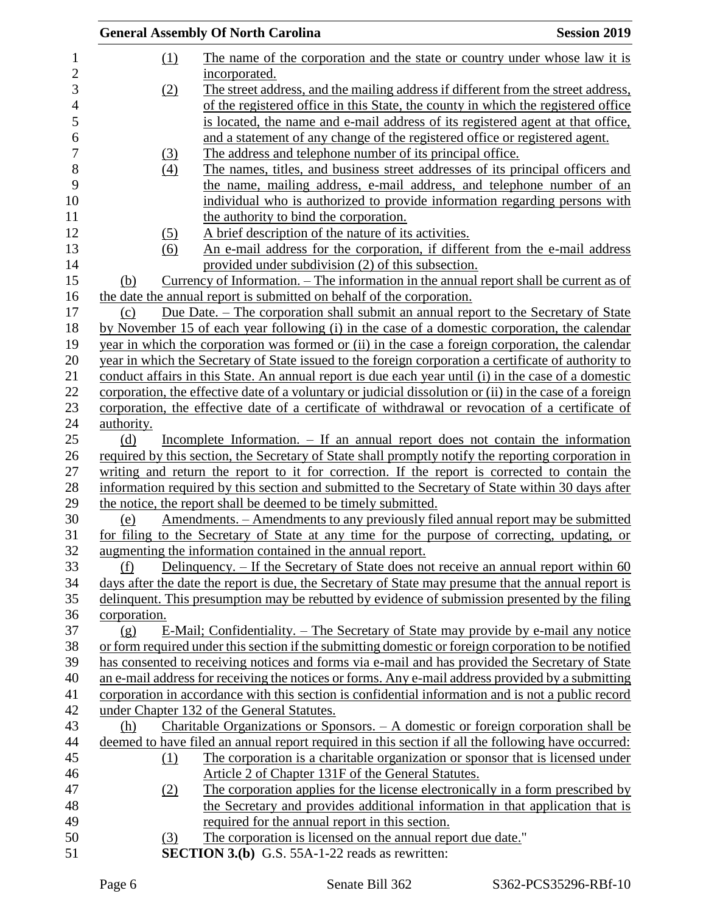|              | <b>General Assembly Of North Carolina</b>                                                                                                                                                         | <b>Session 2019</b> |
|--------------|---------------------------------------------------------------------------------------------------------------------------------------------------------------------------------------------------|---------------------|
| $\Omega$     | The name of the corporation and the state or country under whose law it is                                                                                                                        |                     |
|              | incorporated.                                                                                                                                                                                     |                     |
| (2)          | The street address, and the mailing address if different from the street address,                                                                                                                 |                     |
|              | of the registered office in this State, the county in which the registered office                                                                                                                 |                     |
|              | is located, the name and e-mail address of its registered agent at that office,                                                                                                                   |                     |
|              | and a statement of any change of the registered office or registered agent.                                                                                                                       |                     |
| <u>(3)</u>   | The address and telephone number of its principal office.                                                                                                                                         |                     |
| (4)          | The names, titles, and business street addresses of its principal officers and                                                                                                                    |                     |
|              | the name, mailing address, e-mail address, and telephone number of an                                                                                                                             |                     |
|              | individual who is authorized to provide information regarding persons with                                                                                                                        |                     |
|              | the authority to bind the corporation.                                                                                                                                                            |                     |
| (5)          | A brief description of the nature of its activities.                                                                                                                                              |                     |
| (6)          | An e-mail address for the corporation, if different from the e-mail address                                                                                                                       |                     |
|              | provided under subdivision (2) of this subsection.                                                                                                                                                |                     |
| (b)          | <u>Currency of Information. – The information in the annual report shall be current as of</u>                                                                                                     |                     |
|              | the date the annual report is submitted on behalf of the corporation.                                                                                                                             |                     |
| (c)          | Due Date. – The corporation shall submit an annual report to the Secretary of State                                                                                                               |                     |
|              | by November 15 of each year following (i) in the case of a domestic corporation, the calendar<br>year in which the corporation was formed or (ii) in the case a foreign corporation, the calendar |                     |
|              | year in which the Secretary of State issued to the foreign corporation a certificate of authority to                                                                                              |                     |
|              | conduct affairs in this State. An annual report is due each year until (i) in the case of a domestic                                                                                              |                     |
|              | corporation, the effective date of a voluntary or judicial dissolution or (ii) in the case of a foreign                                                                                           |                     |
|              | corporation, the effective date of a certificate of withdrawal or revocation of a certificate of                                                                                                  |                     |
| authority.   |                                                                                                                                                                                                   |                     |
| (d)          | Incomplete Information. - If an annual report does not contain the information                                                                                                                    |                     |
|              | required by this section, the Secretary of State shall promptly notify the reporting corporation in                                                                                               |                     |
|              | writing and return the report to it for correction. If the report is corrected to contain the                                                                                                     |                     |
|              | information required by this section and submitted to the Secretary of State within 30 days after                                                                                                 |                     |
|              | the notice, the report shall be deemed to be timely submitted.                                                                                                                                    |                     |
| (e)          | <u>Amendments. – Amendments to any previously filed annual report may be submitted</u>                                                                                                            |                     |
|              | for filing to the Secretary of State at any time for the purpose of correcting, updating, or                                                                                                      |                     |
|              | augmenting the information contained in the annual report.                                                                                                                                        |                     |
| (f)          | Delinquency. – If the Secretary of State does not receive an annual report within 60                                                                                                              |                     |
|              | days after the date the report is due, the Secretary of State may presume that the annual report is                                                                                               |                     |
|              | delinquent. This presumption may be rebutted by evidence of submission presented by the filing                                                                                                    |                     |
| corporation. |                                                                                                                                                                                                   |                     |
| (g)          | E-Mail; Confidentiality. – The Secretary of State may provide by e-mail any notice                                                                                                                |                     |
|              | or form required under this section if the submitting domestic or foreign corporation to be notified                                                                                              |                     |
|              | has consented to receiving notices and forms via e-mail and has provided the Secretary of State                                                                                                   |                     |
|              | an e-mail address for receiving the notices or forms. Any e-mail address provided by a submitting                                                                                                 |                     |
|              | corporation in accordance with this section is confidential information and is not a public record                                                                                                |                     |
|              | under Chapter 132 of the General Statutes.                                                                                                                                                        |                     |
| (h)          | Charitable Organizations or Sponsors. - A domestic or foreign corporation shall be                                                                                                                |                     |
|              | deemed to have filed an annual report required in this section if all the following have occurred:                                                                                                |                     |
| (1)          | The corporation is a charitable organization or sponsor that is licensed under                                                                                                                    |                     |
|              | Article 2 of Chapter 131F of the General Statutes.                                                                                                                                                |                     |
| (2)          | The corporation applies for the license electronically in a form prescribed by                                                                                                                    |                     |
|              | the Secretary and provides additional information in that application that is                                                                                                                     |                     |
|              | required for the annual report in this section.<br>The corporation is licensed on the annual report due date."                                                                                    |                     |
| (3)          | <b>SECTION 3.(b)</b> G.S. 55A-1-22 reads as rewritten:                                                                                                                                            |                     |
|              |                                                                                                                                                                                                   |                     |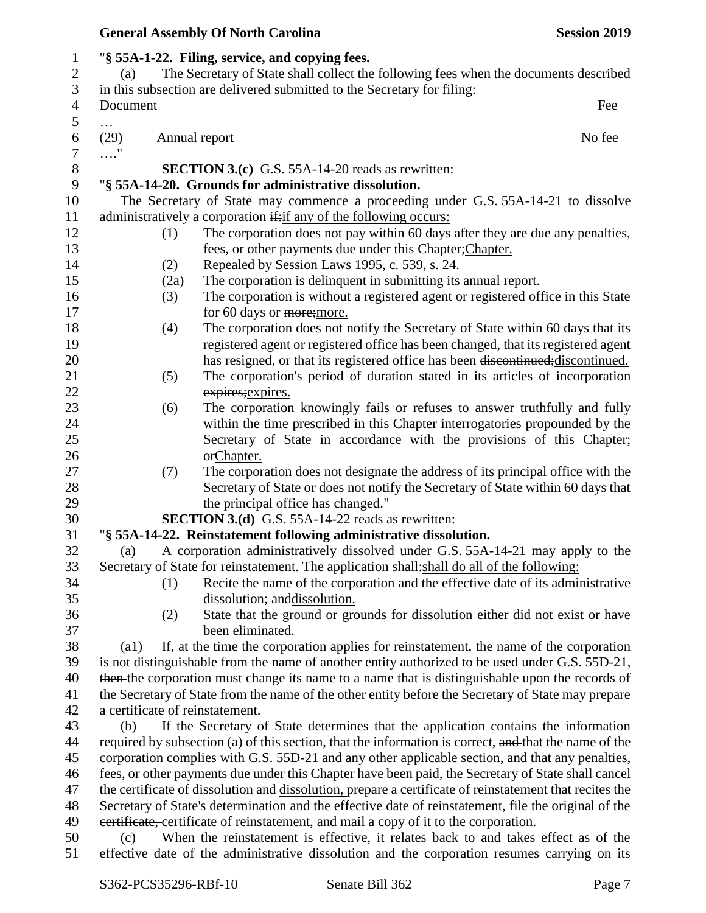|                    |      | <b>General Assembly Of North Carolina</b>                                                               | <b>Session 2019</b> |
|--------------------|------|---------------------------------------------------------------------------------------------------------|---------------------|
|                    |      | "§ 55A-1-22. Filing, service, and copying fees.                                                         |                     |
| (a)                |      | The Secretary of State shall collect the following fees when the documents described                    |                     |
|                    |      | in this subsection are delivered submitted to the Secretary for filing:                                 |                     |
| Document           |      |                                                                                                         | Fee                 |
| $\cdots$           |      |                                                                                                         |                     |
| (29)               |      | <b>Annual report</b>                                                                                    | No fee              |
|                    |      |                                                                                                         |                     |
|                    |      | <b>SECTION 3.(c)</b> G.S. 55A-14-20 reads as rewritten:                                                 |                     |
|                    |      | "§ 55A-14-20. Grounds for administrative dissolution.                                                   |                     |
|                    |      | The Secretary of State may commence a proceeding under G.S. 55A-14-21 to dissolve                       |                     |
|                    |      | administratively a corporation if: if any of the following occurs:                                      |                     |
|                    | (1)  | The corporation does not pay within 60 days after they are due any penalties,                           |                     |
|                    |      | fees, or other payments due under this Chapter; Chapter.                                                |                     |
|                    | (2)  | Repealed by Session Laws 1995, c. 539, s. 24.                                                           |                     |
|                    | (2a) | The corporation is delinquent in submitting its annual report.                                          |                     |
|                    | (3)  | The corporation is without a registered agent or registered office in this State                        |                     |
|                    |      | for 60 days or more; more.                                                                              |                     |
|                    | (4)  | The corporation does not notify the Secretary of State within 60 days that its                          |                     |
|                    |      | registered agent or registered office has been changed, that its registered agent                       |                     |
|                    |      | has resigned, or that its registered office has been discontinued; discontinued.                        |                     |
|                    | (5)  | The corporation's period of duration stated in its articles of incorporation                            |                     |
|                    |      | expires; expires.                                                                                       |                     |
|                    | (6)  | The corporation knowingly fails or refuses to answer truthfully and fully                               |                     |
|                    |      | within the time prescribed in this Chapter interrogatories propounded by the                            |                     |
|                    |      | Secretary of State in accordance with the provisions of this Chapter;                                   |                     |
|                    |      | erChapter.<br>The corporation does not designate the address of its principal office with the           |                     |
|                    | (7)  | Secretary of State or does not notify the Secretary of State within 60 days that                        |                     |
|                    |      | the principal office has changed."                                                                      |                     |
|                    |      | <b>SECTION 3.(d)</b> G.S. 55A-14-22 reads as rewritten:                                                 |                     |
|                    |      | "§ 55A-14-22. Reinstatement following administrative dissolution.                                       |                     |
| (a)                |      | A corporation administratively dissolved under G.S. 55A-14-21 may apply to the                          |                     |
|                    |      | Secretary of State for reinstatement. The application shall: shall do all of the following:             |                     |
|                    | (1)  | Recite the name of the corporation and the effective date of its administrative                         |                     |
|                    |      | dissolution; and dissolution.                                                                           |                     |
|                    | (2)  | State that the ground or grounds for dissolution either did not exist or have                           |                     |
|                    |      | been eliminated.                                                                                        |                     |
| $\left( a1\right)$ |      | If, at the time the corporation applies for reinstatement, the name of the corporation                  |                     |
|                    |      | is not distinguishable from the name of another entity authorized to be used under G.S. 55D-21,         |                     |
|                    |      | then the corporation must change its name to a name that is distinguishable upon the records of         |                     |
|                    |      | the Secretary of State from the name of the other entity before the Secretary of State may prepare      |                     |
|                    |      | a certificate of reinstatement.                                                                         |                     |
| (b)                |      | If the Secretary of State determines that the application contains the information                      |                     |
|                    |      | required by subsection (a) of this section, that the information is correct, and that the name of the   |                     |
|                    |      | corporation complies with G.S. 55D-21 and any other applicable section, and that any penalties,         |                     |
|                    |      | fees, or other payments due under this Chapter have been paid, the Secretary of State shall cancel      |                     |
|                    |      | the certificate of dissolution and dissolution, prepare a certificate of reinstatement that recites the |                     |
|                    |      | Secretary of State's determination and the effective date of reinstatement, file the original of the    |                     |
|                    |      | evertificate, certificate of reinstatement, and mail a copy of it to the corporation.                   |                     |
| (c)                |      | When the reinstatement is effective, it relates back to and takes effect as of the                      |                     |
|                    |      | effective date of the administrative dissolution and the corporation resumes carrying on its            |                     |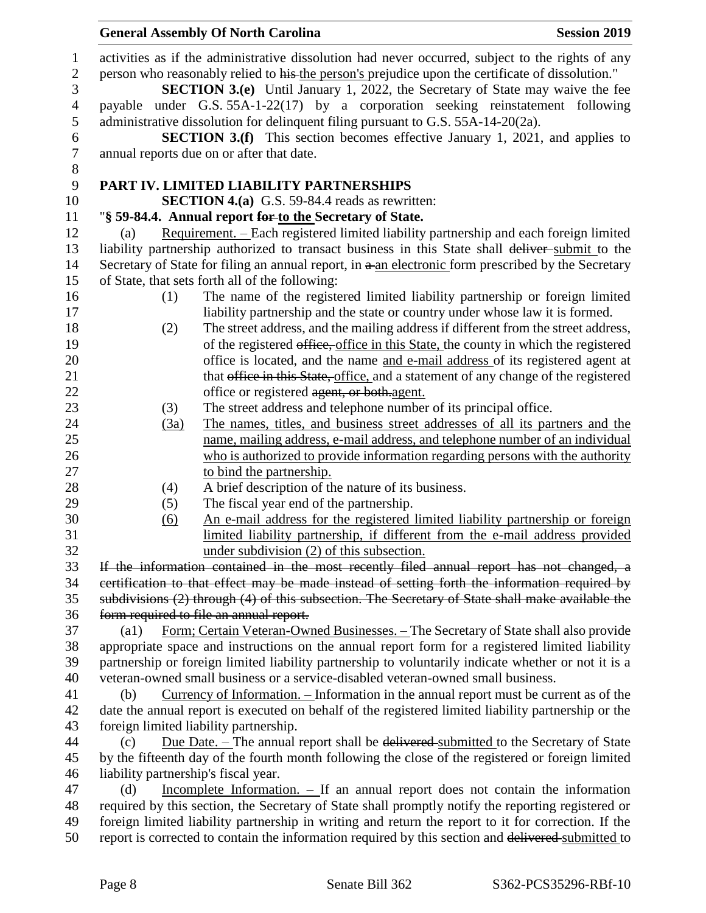| $\mathbf{1}$     | activities as if the administrative dissolution had never occurred, subject to the rights of any                  |  |  |
|------------------|-------------------------------------------------------------------------------------------------------------------|--|--|
| $\mathbf{2}$     | person who reasonably relied to his the person's prejudice upon the certificate of dissolution."                  |  |  |
| 3                | <b>SECTION 3.(e)</b> Until January 1, 2022, the Secretary of State may waive the fee                              |  |  |
| $\overline{4}$   | payable under G.S. 55A-1-22(17) by a corporation seeking reinstatement following                                  |  |  |
| $\sqrt{5}$       | administrative dissolution for delinquent filing pursuant to G.S. 55A-14-20(2a).                                  |  |  |
| 6                | <b>SECTION 3.(f)</b> This section becomes effective January 1, 2021, and applies to                               |  |  |
| $\boldsymbol{7}$ | annual reports due on or after that date.                                                                         |  |  |
| $8\,$            |                                                                                                                   |  |  |
| 9                | PART IV. LIMITED LIABILITY PARTNERSHIPS                                                                           |  |  |
| 10               | <b>SECTION 4.(a)</b> G.S. 59-84.4 reads as rewritten:                                                             |  |  |
| 11               | "§ 59-84.4. Annual report for to the Secretary of State.                                                          |  |  |
| 12               | Requirement. – Each registered limited liability partnership and each foreign limited<br>(a)                      |  |  |
| 13               | liability partnership authorized to transact business in this State shall deliver-submit to the                   |  |  |
| 14               | Secretary of State for filing an annual report, in a an electronic form prescribed by the Secretary               |  |  |
| 15               | of State, that sets forth all of the following:                                                                   |  |  |
| 16               | The name of the registered limited liability partnership or foreign limited<br>(1)                                |  |  |
| 17               | liability partnership and the state or country under whose law it is formed.                                      |  |  |
| 18               | The street address, and the mailing address if different from the street address,<br>(2)                          |  |  |
| 19               | of the registered office, office in this State, the county in which the registered                                |  |  |
| 20               | office is located, and the name and e-mail address of its registered agent at                                     |  |  |
| 21               | that office in this State, office, and a statement of any change of the registered                                |  |  |
| 22               | office or registered agent, or both agent.                                                                        |  |  |
| 23               | The street address and telephone number of its principal office.<br>(3)                                           |  |  |
| 24               | The names, titles, and business street addresses of all its partners and the<br>(3a)                              |  |  |
| 25               | name, mailing address, e-mail address, and telephone number of an individual                                      |  |  |
| 26               | who is authorized to provide information regarding persons with the authority                                     |  |  |
| 27               | to bind the partnership.                                                                                          |  |  |
| 28               | A brief description of the nature of its business.<br>(4)                                                         |  |  |
| 29               | The fiscal year end of the partnership.<br>(5)                                                                    |  |  |
| 30               | An e-mail address for the registered limited liability partnership or foreign<br>(6)                              |  |  |
| 31               | limited liability partnership, if different from the e-mail address provided                                      |  |  |
| 32               | under subdivision (2) of this subsection.                                                                         |  |  |
| 33               | If the information contained in the most recently filed annual report has not changed, a                          |  |  |
| 34               | eertification to that effect may be made instead of setting forth the information required by                     |  |  |
| 35               | subdivisions (2) through (4) of this subsection. The Secretary of State shall make available the                  |  |  |
| 36               | form required to file an annual report.                                                                           |  |  |
| 37               | Form; Certain Veteran-Owned Businesses. - The Secretary of State shall also provide<br>$\left( \text{a1} \right)$ |  |  |
| 38               | appropriate space and instructions on the annual report form for a registered limited liability                   |  |  |
| 39               | partnership or foreign limited liability partnership to voluntarily indicate whether or not it is a               |  |  |
| 40               | veteran-owned small business or a service-disabled veteran-owned small business.                                  |  |  |
| 41               | Currency of Information. – Information in the annual report must be current as of the<br>(b)                      |  |  |
| 42               | date the annual report is executed on behalf of the registered limited liability partnership or the               |  |  |
| 43               | foreign limited liability partnership.                                                                            |  |  |
| 44               | <u>Due Date. – The annual report shall be delivered submitted to the Secretary of State</u><br>(c)                |  |  |
| 45               | by the fifteenth day of the fourth month following the close of the registered or foreign limited                 |  |  |
| 46               | liability partnership's fiscal year.                                                                              |  |  |
| 47               | Incomplete Information. $-$ If an annual report does not contain the information<br>(d)                           |  |  |
| 48               | required by this section, the Secretary of State shall promptly notify the reporting registered or                |  |  |
| 49               | foreign limited liability partnership in writing and return the report to it for correction. If the               |  |  |
| 50               | report is corrected to contain the information required by this section and delivered submitted to                |  |  |
|                  |                                                                                                                   |  |  |

**General Assembly Of North Carolina Session 2019**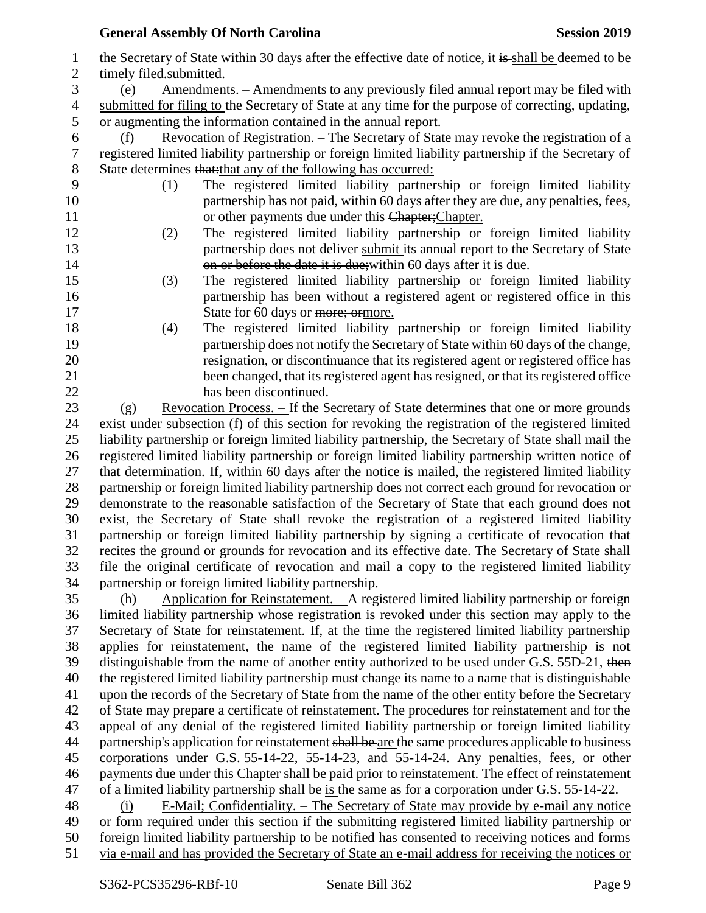|                  | <b>General Assembly Of North Carolina</b>                                                             | <b>Session 2019</b> |  |
|------------------|-------------------------------------------------------------------------------------------------------|---------------------|--|
| $\mathbf{1}$     | the Secretary of State within 30 days after the effective date of notice, it is shall be deemed to be |                     |  |
| $\overline{2}$   | timely filed.submitted.                                                                               |                     |  |
| 3                | Amendments. - Amendments to any previously filed annual report may be filed with<br>(e)               |                     |  |
| $\overline{4}$   | submitted for filing to the Secretary of State at any time for the purpose of correcting, updating,   |                     |  |
| 5                | or augmenting the information contained in the annual report.                                         |                     |  |
| 6                | Revocation of Registration. - The Secretary of State may revoke the registration of a<br>(f)          |                     |  |
| $\boldsymbol{7}$ | registered limited liability partnership or foreign limited liability partnership if the Secretary of |                     |  |
| $8\,$            | State determines that: that any of the following has occurred:                                        |                     |  |
| 9                | The registered limited liability partnership or foreign limited liability<br>(1)                      |                     |  |
| 10               | partnership has not paid, within 60 days after they are due, any penalties, fees,                     |                     |  |
| 11               | or other payments due under this Chapter; Chapter.                                                    |                     |  |
| 12               | The registered limited liability partnership or foreign limited liability<br>(2)                      |                     |  |
| 13               | partnership does not deliver submit its annual report to the Secretary of State                       |                     |  |
| 14               | on or before the date it is due; within 60 days after it is due.                                      |                     |  |
| 15               | The registered limited liability partnership or foreign limited liability<br>(3)                      |                     |  |
| 16               | partnership has been without a registered agent or registered office in this                          |                     |  |
| 17               | State for 60 days or more; ormore.                                                                    |                     |  |
| 18               | The registered limited liability partnership or foreign limited liability<br>(4)                      |                     |  |
| 19               | partnership does not notify the Secretary of State within 60 days of the change,                      |                     |  |
| 20               | resignation, or discontinuance that its registered agent or registered office has                     |                     |  |
| 21               | been changed, that its registered agent has resigned, or that its registered office                   |                     |  |
| $22\,$           | has been discontinued.                                                                                |                     |  |
| 23               | <u>Revocation Process. - If the Secretary of State determines that one or more grounds</u><br>(g)     |                     |  |
| 24               | exist under subsection (f) of this section for revoking the registration of the registered limited    |                     |  |
| 25               | liability partnership or foreign limited liability partnership, the Secretary of State shall mail the |                     |  |
| 26               | registered limited liability partnership or foreign limited liability partnership written notice of   |                     |  |
| 27               | that determination. If, within 60 days after the notice is mailed, the registered limited liability   |                     |  |
| 28               | partnership or foreign limited liability partnership does not correct each ground for revocation or   |                     |  |
| 29               | demonstrate to the reasonable satisfaction of the Secretary of State that each ground does not        |                     |  |
| 30               | exist, the Secretary of State shall revoke the registration of a registered limited liability         |                     |  |
| 31               | partnership or foreign limited liability partnership by signing a certificate of revocation that      |                     |  |
| 32               | recites the ground or grounds for revocation and its effective date. The Secretary of State shall     |                     |  |
| 33               | file the original certificate of revocation and mail a copy to the registered limited liability       |                     |  |
| 34               | partnership or foreign limited liability partnership.                                                 |                     |  |
| 35               | Application for Reinstatement. - A registered limited liability partnership or foreign<br>(h)         |                     |  |
| 36               | limited liability partnership whose registration is revoked under this section may apply to the       |                     |  |

 Secretary of State for reinstatement. If, at the time the registered limited liability partnership applies for reinstatement, the name of the registered limited liability partnership is not 39 distinguishable from the name of another entity authorized to be used under G.S. 55D-21, then the registered limited liability partnership must change its name to a name that is distinguishable upon the records of the Secretary of State from the name of the other entity before the Secretary of State may prepare a certificate of reinstatement. The procedures for reinstatement and for the appeal of any denial of the registered limited liability partnership or foreign limited liability 44 partnership's application for reinstatement shall be are the same procedures applicable to business corporations under G.S. 55-14-22, 55-14-23, and 55-14-24. Any penalties, fees, or other payments due under this Chapter shall be paid prior to reinstatement. The effect of reinstatement 47 of a limited liability partnership shall be is the same as for a corporation under G.S. 55-14-22.

 (i) E-Mail; Confidentiality. – The Secretary of State may provide by e-mail any notice or form required under this section if the submitting registered limited liability partnership or foreign limited liability partnership to be notified has consented to receiving notices and forms via e-mail and has provided the Secretary of State an e-mail address for receiving the notices or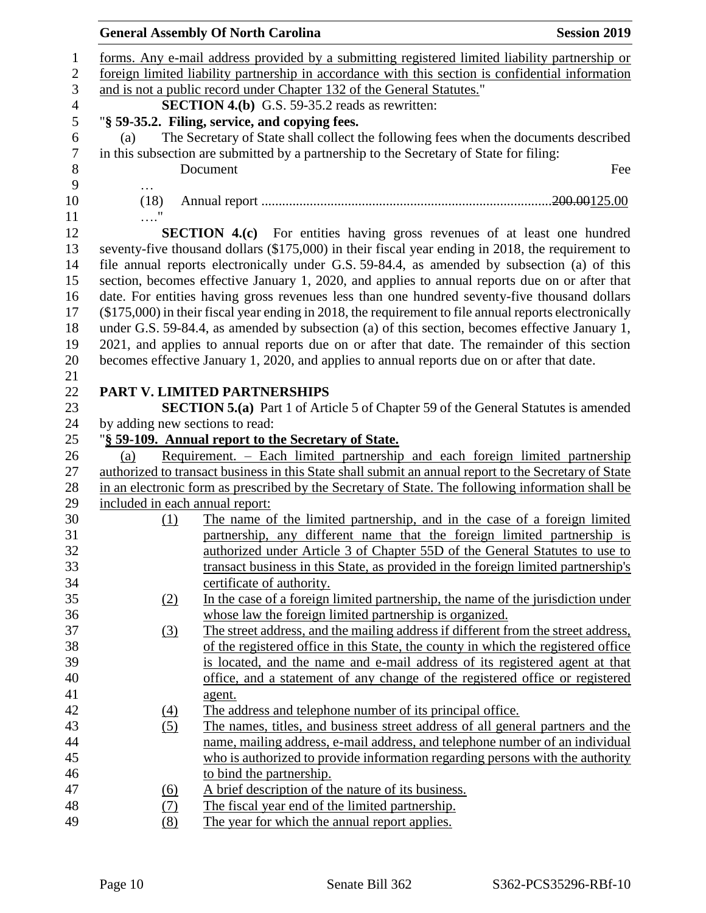|                                 | <b>General Assembly Of North Carolina</b>                                                                | <b>Session 2019</b> |
|---------------------------------|----------------------------------------------------------------------------------------------------------|---------------------|
|                                 | forms. Any e-mail address provided by a submitting registered limited liability partnership or           |                     |
|                                 | foreign limited liability partnership in accordance with this section is confidential information        |                     |
|                                 | and is not a public record under Chapter 132 of the General Statutes."                                   |                     |
|                                 | <b>SECTION 4.(b)</b> G.S. 59-35.2 reads as rewritten:                                                    |                     |
|                                 | "§ 59-35.2. Filing, service, and copying fees.                                                           |                     |
| (a)                             | The Secretary of State shall collect the following fees when the documents described                     |                     |
|                                 | in this subsection are submitted by a partnership to the Secretary of State for filing:                  |                     |
|                                 | Document                                                                                                 | Fee                 |
| $\cdots$                        |                                                                                                          |                     |
| (18)                            |                                                                                                          |                     |
| $\ldots$ "                      |                                                                                                          |                     |
|                                 | SECTION 4.(c) For entities having gross revenues of at least one hundred                                 |                     |
|                                 | seventy-five thousand dollars (\$175,000) in their fiscal year ending in 2018, the requirement to        |                     |
|                                 | file annual reports electronically under G.S. 59-84.4, as amended by subsection (a) of this              |                     |
|                                 | section, becomes effective January 1, 2020, and applies to annual reports due on or after that           |                     |
|                                 | date. For entities having gross revenues less than one hundred seventy-five thousand dollars             |                     |
|                                 | $(\$175,000)$ in their fiscal year ending in 2018, the requirement to file annual reports electronically |                     |
|                                 | under G.S. 59-84.4, as amended by subsection (a) of this section, becomes effective January 1,           |                     |
|                                 | 2021, and applies to annual reports due on or after that date. The remainder of this section             |                     |
|                                 | becomes effective January 1, 2020, and applies to annual reports due on or after that date.              |                     |
|                                 |                                                                                                          |                     |
|                                 | <b>PART V. LIMITED PARTNERSHIPS</b>                                                                      |                     |
|                                 | <b>SECTION 5.(a)</b> Part 1 of Article 5 of Chapter 59 of the General Statutes is amended                |                     |
| by adding new sections to read: |                                                                                                          |                     |
|                                 | "§ 59-109. Annual report to the Secretary of State.                                                      |                     |
| (a)                             | Requirement. – Each limited partnership and each foreign limited partnership                             |                     |
|                                 | authorized to transact business in this State shall submit an annual report to the Secretary of State    |                     |
|                                 | in an electronic form as prescribed by the Secretary of State. The following information shall be        |                     |
| included in each annual report: |                                                                                                          |                     |
| (1)                             | The name of the limited partnership, and in the case of a foreign limited                                |                     |
|                                 | partnership, any different name that the foreign limited partnership is                                  |                     |
|                                 | authorized under Article 3 of Chapter 55D of the General Statutes to use to                              |                     |
|                                 | transact business in this State, as provided in the foreign limited partnership's                        |                     |
|                                 | certificate of authority.                                                                                |                     |
| (2)                             | In the case of a foreign limited partnership, the name of the jurisdiction under                         |                     |
|                                 | whose law the foreign limited partnership is organized.                                                  |                     |
| $\left(3\right)$                | The street address, and the mailing address if different from the street address,                        |                     |
|                                 | of the registered office in this State, the county in which the registered office                        |                     |
|                                 | is located, and the name and e-mail address of its registered agent at that                              |                     |
|                                 | office, and a statement of any change of the registered office or registered                             |                     |
|                                 | agent.                                                                                                   |                     |
| $\left(4\right)$                | The address and telephone number of its principal office.                                                |                     |
| (5)                             | The names, titles, and business street address of all general partners and the                           |                     |
|                                 | name, mailing address, e-mail address, and telephone number of an individual                             |                     |
|                                 | who is authorized to provide information regarding persons with the authority                            |                     |
|                                 | to bind the partnership.                                                                                 |                     |
| <u>(6)</u>                      | A brief description of the nature of its business.                                                       |                     |
| (7)                             | The fiscal year end of the limited partnership.                                                          |                     |
|                                 | The year for which the annual report applies.                                                            |                     |
| (8)                             |                                                                                                          |                     |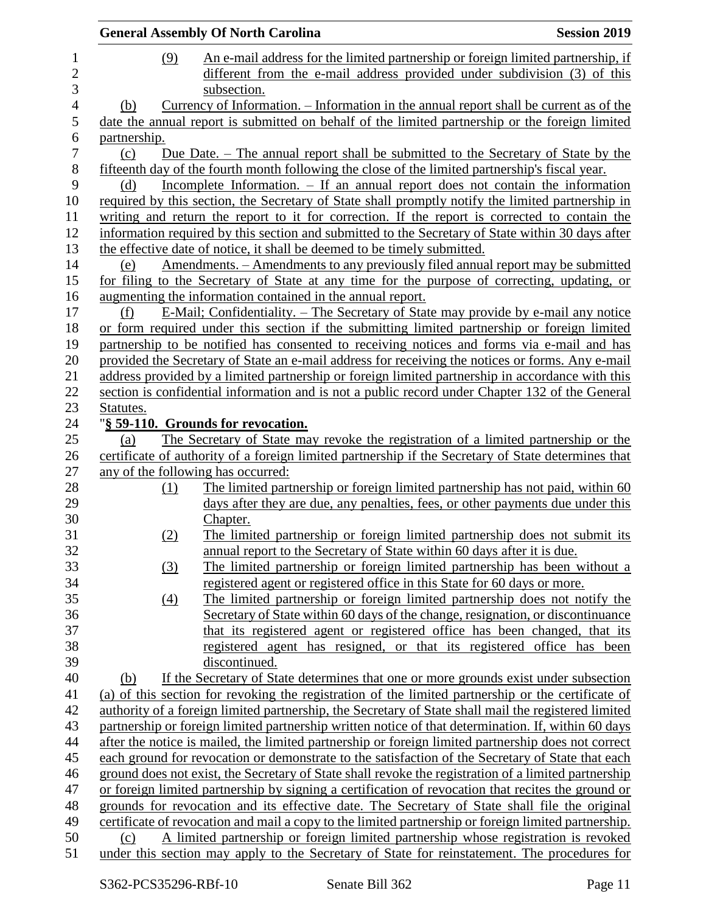|                |                   | <b>General Assembly Of North Carolina</b>                                                                                                                                                           | <b>Session 2019</b> |
|----------------|-------------------|-----------------------------------------------------------------------------------------------------------------------------------------------------------------------------------------------------|---------------------|
| $\mathbf{1}$   | (9)               | An e-mail address for the limited partnership or foreign limited partnership, if                                                                                                                    |                     |
| 2<br>3         |                   | different from the e-mail address provided under subdivision (3) of this<br>subsection.                                                                                                             |                     |
| $\overline{4}$ | (b)               | <u>Currency of Information. – Information in the annual report shall be current as of the</u>                                                                                                       |                     |
| 5              |                   | date the annual report is submitted on behalf of the limited partnership or the foreign limited                                                                                                     |                     |
| 6              | partnership.      |                                                                                                                                                                                                     |                     |
| 7              | (c)               | Due Date. – The annual report shall be submitted to the Secretary of State by the                                                                                                                   |                     |
| $8\,$          |                   | fifteenth day of the fourth month following the close of the limited partnership's fiscal year.                                                                                                     |                     |
| 9              | (d)               | Incomplete Information. – If an annual report does not contain the information                                                                                                                      |                     |
| 10             |                   | required by this section, the Secretary of State shall promptly notify the limited partnership in                                                                                                   |                     |
| 11             |                   | writing and return the report to it for correction. If the report is corrected to contain the                                                                                                       |                     |
| 12             |                   | information required by this section and submitted to the Secretary of State within 30 days after                                                                                                   |                     |
| 13             |                   | the effective date of notice, it shall be deemed to be timely submitted.                                                                                                                            |                     |
| 14             | (e)               | <u>Amendments. – Amendments to any previously filed annual report may be submitted</u>                                                                                                              |                     |
| 15             |                   | for filing to the Secretary of State at any time for the purpose of correcting, updating, or                                                                                                        |                     |
| 16             |                   | augmenting the information contained in the annual report.                                                                                                                                          |                     |
| 17             | (f)               | E-Mail; Confidentiality. – The Secretary of State may provide by e-mail any notice                                                                                                                  |                     |
| 18             |                   | or form required under this section if the submitting limited partnership or foreign limited                                                                                                        |                     |
| 19             |                   | partnership to be notified has consented to receiving notices and forms via e-mail and has                                                                                                          |                     |
| 20<br>21       |                   | provided the Secretary of State an e-mail address for receiving the notices or forms. Any e-mail                                                                                                    |                     |
| 22             |                   | address provided by a limited partnership or foreign limited partnership in accordance with this<br>section is confidential information and is not a public record under Chapter 132 of the General |                     |
| 23             | Statutes.         |                                                                                                                                                                                                     |                     |
| 24             |                   | "§ 59-110. Grounds for revocation.                                                                                                                                                                  |                     |
| 25             | (a)               | The Secretary of State may revoke the registration of a limited partnership or the                                                                                                                  |                     |
| 26             |                   | certificate of authority of a foreign limited partnership if the Secretary of State determines that                                                                                                 |                     |
| 27             |                   | any of the following has occurred:                                                                                                                                                                  |                     |
| 28             | (1)               | The limited partnership or foreign limited partnership has not paid, within 60                                                                                                                      |                     |
| 29             |                   | days after they are due, any penalties, fees, or other payments due under this                                                                                                                      |                     |
| 30             |                   | Chapter.                                                                                                                                                                                            |                     |
| 31             | (2)               | The limited partnership or foreign limited partnership does not submit its                                                                                                                          |                     |
| 32             |                   | annual report to the Secretary of State within 60 days after it is due.                                                                                                                             |                     |
| 33             | (3)               | The limited partnership or foreign limited partnership has been without a                                                                                                                           |                     |
| 34             |                   | registered agent or registered office in this State for 60 days or more.                                                                                                                            |                     |
| 35             | $\underline{(4)}$ | The limited partnership or foreign limited partnership does not notify the                                                                                                                          |                     |
| 36             |                   | Secretary of State within 60 days of the change, resignation, or discontinuance                                                                                                                     |                     |
| 37             |                   | that its registered agent or registered office has been changed, that its                                                                                                                           |                     |
| 38             |                   | registered agent has resigned, or that its registered office has been                                                                                                                               |                     |
| 39             |                   | discontinued.                                                                                                                                                                                       |                     |
| 40             | (b)               | If the Secretary of State determines that one or more grounds exist under subsection                                                                                                                |                     |
| 41             |                   | (a) of this section for revoking the registration of the limited partnership or the certificate of                                                                                                  |                     |
| 42             |                   | authority of a foreign limited partnership, the Secretary of State shall mail the registered limited                                                                                                |                     |
| 43             |                   | partnership or foreign limited partnership written notice of that determination. If, within 60 days                                                                                                 |                     |
| 44             |                   | after the notice is mailed, the limited partnership or foreign limited partnership does not correct                                                                                                 |                     |
| 45             |                   | each ground for revocation or demonstrate to the satisfaction of the Secretary of State that each                                                                                                   |                     |
| 46             |                   | ground does not exist, the Secretary of State shall revoke the registration of a limited partnership                                                                                                |                     |
| 47             |                   | or foreign limited partnership by signing a certification of revocation that recites the ground or                                                                                                  |                     |
| 48             |                   | grounds for revocation and its effective date. The Secretary of State shall file the original                                                                                                       |                     |
| 49             |                   | certificate of revocation and mail a copy to the limited partnership or foreign limited partnership.                                                                                                |                     |
| 50             | (c)               | A limited partnership or foreign limited partnership whose registration is revoked                                                                                                                  |                     |
| 51             |                   | under this section may apply to the Secretary of State for reinstatement. The procedures for                                                                                                        |                     |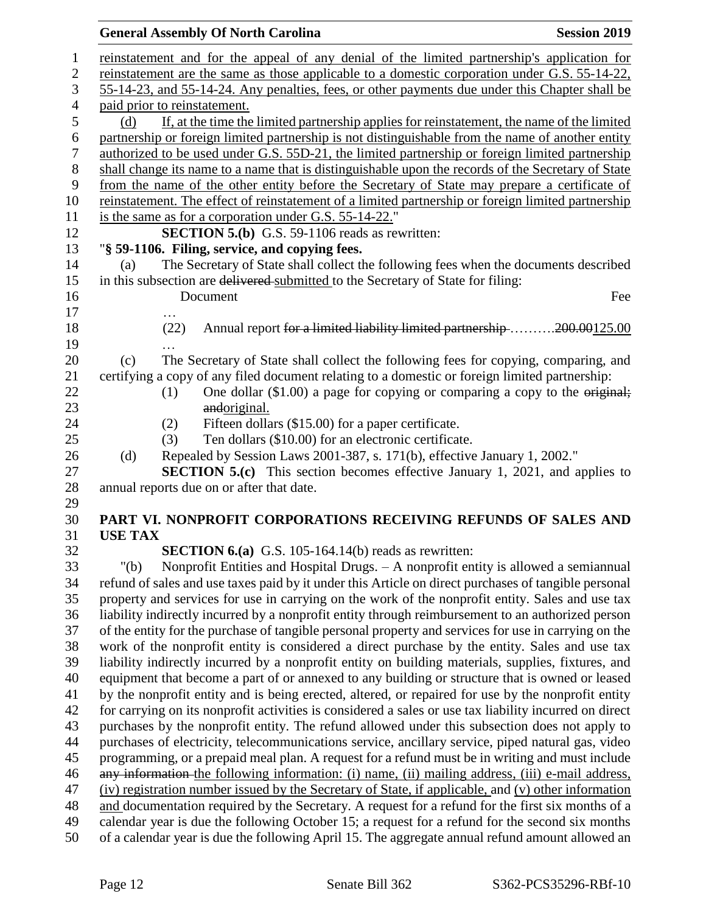## **General Assembly Of North Carolina Session 2019**

| $\mathbf{1}$     |                                                                                                     |                              | reinstatement and for the appeal of any denial of the limited partnership's application for             |  |  |  |
|------------------|-----------------------------------------------------------------------------------------------------|------------------------------|---------------------------------------------------------------------------------------------------------|--|--|--|
| $\mathbf{2}$     | reinstatement are the same as those applicable to a domestic corporation under G.S. 55-14-22,       |                              |                                                                                                         |  |  |  |
| 3                | 55-14-23, and 55-14-24. Any penalties, fees, or other payments due under this Chapter shall be      |                              |                                                                                                         |  |  |  |
| $\overline{4}$   |                                                                                                     | paid prior to reinstatement. |                                                                                                         |  |  |  |
| 5                | (d)                                                                                                 |                              | If, at the time the limited partnership applies for reinstatement, the name of the limited              |  |  |  |
| $\boldsymbol{6}$ |                                                                                                     |                              | partnership or foreign limited partnership is not distinguishable from the name of another entity       |  |  |  |
| $\tau$           | authorized to be used under G.S. 55D-21, the limited partnership or foreign limited partnership     |                              |                                                                                                         |  |  |  |
| $\,8\,$          | shall change its name to a name that is distinguishable upon the records of the Secretary of State  |                              |                                                                                                         |  |  |  |
| $\overline{9}$   | from the name of the other entity before the Secretary of State may prepare a certificate of        |                              |                                                                                                         |  |  |  |
| 10               | reinstatement. The effect of reinstatement of a limited partnership or foreign limited partnership  |                              |                                                                                                         |  |  |  |
| 11               |                                                                                                     |                              | is the same as for a corporation under G.S. 55-14-22."                                                  |  |  |  |
| 12<br>13         |                                                                                                     |                              | <b>SECTION 5.(b)</b> G.S. 59-1106 reads as rewritten:<br>"§ 59-1106. Filing, service, and copying fees. |  |  |  |
| 14               | (a)                                                                                                 |                              | The Secretary of State shall collect the following fees when the documents described                    |  |  |  |
| 15               |                                                                                                     |                              | in this subsection are delivered submitted to the Secretary of State for filing:                        |  |  |  |
| 16               |                                                                                                     |                              | Fee<br>Document                                                                                         |  |  |  |
| 17               |                                                                                                     |                              |                                                                                                         |  |  |  |
| 18               |                                                                                                     | (22)                         | Annual report for a limited liability limited partnership 200.00125.00                                  |  |  |  |
| 19               |                                                                                                     |                              |                                                                                                         |  |  |  |
| 20               | (c)                                                                                                 |                              | The Secretary of State shall collect the following fees for copying, comparing, and                     |  |  |  |
| 21               |                                                                                                     |                              | certifying a copy of any filed document relating to a domestic or foreign limited partnership:          |  |  |  |
| 22               |                                                                                                     | (1)                          | One dollar $(\$1.00)$ a page for copying or comparing a copy to the original;                           |  |  |  |
| 23               |                                                                                                     |                              | andoriginal.                                                                                            |  |  |  |
| 24               |                                                                                                     | (2)                          | Fifteen dollars (\$15.00) for a paper certificate.                                                      |  |  |  |
| 25               |                                                                                                     | (3)                          | Ten dollars (\$10.00) for an electronic certificate.                                                    |  |  |  |
| 26               | (d)                                                                                                 |                              | Repealed by Session Laws 2001-387, s. 171(b), effective January 1, 2002."                               |  |  |  |
| 27               |                                                                                                     |                              | <b>SECTION 5.(c)</b> This section becomes effective January 1, 2021, and applies to                     |  |  |  |
| 28               |                                                                                                     |                              | annual reports due on or after that date.                                                               |  |  |  |
| 29               |                                                                                                     |                              |                                                                                                         |  |  |  |
| 30               |                                                                                                     |                              | PART VI. NONPROFIT CORPORATIONS RECEIVING REFUNDS OF SALES AND                                          |  |  |  |
| 31<br>32         | <b>USE TAX</b>                                                                                      |                              | <b>SECTION 6.(a)</b> G.S. 105-164.14(b) reads as rewritten:                                             |  |  |  |
| 33               |                                                                                                     |                              | "(b) Nonprofit Entities and Hospital Drugs. - A nonprofit entity is allowed a semiannual                |  |  |  |
| 34               |                                                                                                     |                              | refund of sales and use taxes paid by it under this Article on direct purchases of tangible personal    |  |  |  |
| 35               |                                                                                                     |                              | property and services for use in carrying on the work of the nonprofit entity. Sales and use tax        |  |  |  |
| 36               |                                                                                                     |                              | liability indirectly incurred by a nonprofit entity through reimbursement to an authorized person       |  |  |  |
| 37               |                                                                                                     |                              | of the entity for the purchase of tangible personal property and services for use in carrying on the    |  |  |  |
| 38               |                                                                                                     |                              | work of the nonprofit entity is considered a direct purchase by the entity. Sales and use tax           |  |  |  |
| 39               |                                                                                                     |                              | liability indirectly incurred by a nonprofit entity on building materials, supplies, fixtures, and      |  |  |  |
| 40               |                                                                                                     |                              | equipment that become a part of or annexed to any building or structure that is owned or leased         |  |  |  |
| 41               |                                                                                                     |                              | by the nonprofit entity and is being erected, altered, or repaired for use by the nonprofit entity      |  |  |  |
| 42               |                                                                                                     |                              | for carrying on its nonprofit activities is considered a sales or use tax liability incurred on direct  |  |  |  |
| 43               |                                                                                                     |                              | purchases by the nonprofit entity. The refund allowed under this subsection does not apply to           |  |  |  |
| 44               | purchases of electricity, telecommunications service, ancillary service, piped natural gas, video   |                              |                                                                                                         |  |  |  |
| 45               | programming, or a prepaid meal plan. A request for a refund must be in writing and must include     |                              |                                                                                                         |  |  |  |
| 46               | any information the following information: (i) name, (ii) mailing address, (iii) e-mail address,    |                              |                                                                                                         |  |  |  |
| 47               | (iv) registration number issued by the Secretary of State, if applicable, and (v) other information |                              |                                                                                                         |  |  |  |
| 48               | and documentation required by the Secretary. A request for a refund for the first six months of a   |                              |                                                                                                         |  |  |  |
| 49               |                                                                                                     |                              | calendar year is due the following October 15; a request for a refund for the second six months         |  |  |  |
| 50               |                                                                                                     |                              | of a calendar year is due the following April 15. The aggregate annual refund amount allowed an         |  |  |  |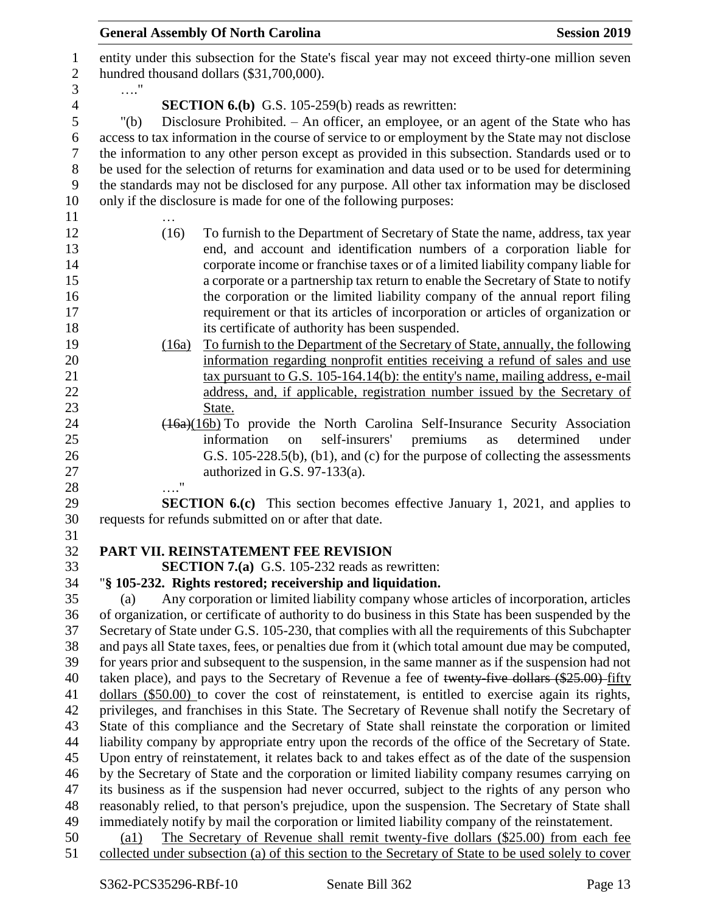| entity under this subsection for the State's fiscal year may not exceed thirty-one million seven<br>$\mathbf{1}$<br>$\boldsymbol{2}$<br>hundred thousand dollars (\$31,700,000).<br>3<br>. "<br><b>SECTION 6.(b)</b> G.S. 105-259(b) reads as rewritten:<br>4<br>5<br>Disclosure Prohibited. - An officer, an employee, or an agent of the State who has<br>" $(b)$<br>access to tax information in the course of service to or employment by the State may not disclose<br>6<br>$\tau$<br>the information to any other person except as provided in this subsection. Standards used or to<br>be used for the selection of returns for examination and data used or to be used for determining<br>8<br>9<br>the standards may not be disclosed for any purpose. All other tax information may be disclosed<br>10<br>only if the disclosure is made for one of the following purposes:<br>11<br>12<br>(16)<br>To furnish to the Department of Secretary of State the name, address, tax year<br>end, and account and identification numbers of a corporation liable for<br>13<br>corporate income or franchise taxes or of a limited liability company liable for<br>14<br>a corporate or a partnership tax return to enable the Secretary of State to notify<br>15<br>the corporation or the limited liability company of the annual report filing<br>16<br>requirement or that its articles of incorporation or articles of organization or<br>17<br>18<br>its certificate of authority has been suspended.<br>To furnish to the Department of the Secretary of State, annually, the following<br>19<br>(16a)<br>information regarding nonprofit entities receiving a refund of sales and use<br>20<br>21<br>tax pursuant to G.S. $105-164.14(b)$ : the entity's name, mailing address, e-mail<br>22<br>address, and, if applicable, registration number issued by the Secretary of<br>23<br>State.<br>24<br>(16a)(16b) To provide the North Carolina Self-Insurance Security Association<br>25<br>self-insurers'<br>premiums<br>information<br>on<br>as<br>determined<br>under<br>26<br>G.S. 105-228.5(b), (b1), and (c) for the purpose of collecting the assessments<br>27<br>authorized in G.S. $97-133(a)$ .<br>11<br>28<br>29<br><b>SECTION 6.(c)</b> This section becomes effective January 1, 2021, and applies to<br>30<br>requests for refunds submitted on or after that date.<br>31<br>PART VII. REINSTATEMENT FEE REVISION<br>32<br>33<br><b>SECTION 7.(a)</b> G.S. 105-232 reads as rewritten:<br>34<br>"§ 105-232. Rights restored; receivership and liquidation.<br>35<br>Any corporation or limited liability company whose articles of incorporation, articles<br>(a)<br>of organization, or certificate of authority to do business in this State has been suspended by the<br>36<br>Secretary of State under G.S. 105-230, that complies with all the requirements of this Subchapter<br>37<br>38<br>and pays all State taxes, fees, or penalties due from it (which total amount due may be computed,<br>39<br>for years prior and subsequent to the suspension, in the same manner as if the suspension had not<br>taken place), and pays to the Secretary of Revenue a fee of twenty-five dollars (\$25.00) fifty<br>40<br>dollars (\$50.00) to cover the cost of reinstatement, is entitled to exercise again its rights,<br>41<br>42<br>privileges, and franchises in this State. The Secretary of Revenue shall notify the Secretary of<br>43<br>State of this compliance and the Secretary of State shall reinstate the corporation or limited<br>44<br>liability company by appropriate entry upon the records of the office of the Secretary of State.<br>Upon entry of reinstatement, it relates back to and takes effect as of the date of the suspension<br>45<br>46<br>by the Secretary of State and the corporation or limited liability company resumes carrying on<br>its business as if the suspension had never occurred, subject to the rights of any person who<br>47<br>48<br>reasonably relied, to that person's prejudice, upon the suspension. The Secretary of State shall<br>immediately notify by mail the corporation or limited liability company of the reinstatement.<br>49<br>The Secretary of Revenue shall remit twenty-five dollars (\$25.00) from each fee<br>50<br>$\left( a1\right)$<br>collected under subsection (a) of this section to the Secretary of State to be used solely to cover<br>51 | <b>General Assembly Of North Carolina</b> | <b>Session 2019</b> |
|--------------------------------------------------------------------------------------------------------------------------------------------------------------------------------------------------------------------------------------------------------------------------------------------------------------------------------------------------------------------------------------------------------------------------------------------------------------------------------------------------------------------------------------------------------------------------------------------------------------------------------------------------------------------------------------------------------------------------------------------------------------------------------------------------------------------------------------------------------------------------------------------------------------------------------------------------------------------------------------------------------------------------------------------------------------------------------------------------------------------------------------------------------------------------------------------------------------------------------------------------------------------------------------------------------------------------------------------------------------------------------------------------------------------------------------------------------------------------------------------------------------------------------------------------------------------------------------------------------------------------------------------------------------------------------------------------------------------------------------------------------------------------------------------------------------------------------------------------------------------------------------------------------------------------------------------------------------------------------------------------------------------------------------------------------------------------------------------------------------------------------------------------------------------------------------------------------------------------------------------------------------------------------------------------------------------------------------------------------------------------------------------------------------------------------------------------------------------------------------------------------------------------------------------------------------------------------------------------------------------------------------------------------------------------------------------------------------------------------------------------------------------------------------------------------------------------------------------------------------------------------------------------------------------------------------------------------------------------------------------------------------------------------------------------------------------------------------------------------------------------------------------------------------------------------------------------------------------------------------------------------------------------------------------------------------------------------------------------------------------------------------------------------------------------------------------------------------------------------------------------------------------------------------------------------------------------------------------------------------------------------------------------------------------------------------------------------------------------------------------------------------------------------------------------------------------------------------------------------------------------------------------------------------------------------------------------------------------------------------------------------------------------------------------------------------------------------------------------------------------------------------------------------------------------------------------------------------------------------------------------------------------------------------------------------------------------------------------------------------------------------------------------------------------------------------------------------------|-------------------------------------------|---------------------|
|                                                                                                                                                                                                                                                                                                                                                                                                                                                                                                                                                                                                                                                                                                                                                                                                                                                                                                                                                                                                                                                                                                                                                                                                                                                                                                                                                                                                                                                                                                                                                                                                                                                                                                                                                                                                                                                                                                                                                                                                                                                                                                                                                                                                                                                                                                                                                                                                                                                                                                                                                                                                                                                                                                                                                                                                                                                                                                                                                                                                                                                                                                                                                                                                                                                                                                                                                                                                                                                                                                                                                                                                                                                                                                                                                                                                                                                                                                                                                                                                                                                                                                                                                                                                                                                                                                                                                                                                                                                              |                                           |                     |
|                                                                                                                                                                                                                                                                                                                                                                                                                                                                                                                                                                                                                                                                                                                                                                                                                                                                                                                                                                                                                                                                                                                                                                                                                                                                                                                                                                                                                                                                                                                                                                                                                                                                                                                                                                                                                                                                                                                                                                                                                                                                                                                                                                                                                                                                                                                                                                                                                                                                                                                                                                                                                                                                                                                                                                                                                                                                                                                                                                                                                                                                                                                                                                                                                                                                                                                                                                                                                                                                                                                                                                                                                                                                                                                                                                                                                                                                                                                                                                                                                                                                                                                                                                                                                                                                                                                                                                                                                                                              |                                           |                     |
|                                                                                                                                                                                                                                                                                                                                                                                                                                                                                                                                                                                                                                                                                                                                                                                                                                                                                                                                                                                                                                                                                                                                                                                                                                                                                                                                                                                                                                                                                                                                                                                                                                                                                                                                                                                                                                                                                                                                                                                                                                                                                                                                                                                                                                                                                                                                                                                                                                                                                                                                                                                                                                                                                                                                                                                                                                                                                                                                                                                                                                                                                                                                                                                                                                                                                                                                                                                                                                                                                                                                                                                                                                                                                                                                                                                                                                                                                                                                                                                                                                                                                                                                                                                                                                                                                                                                                                                                                                                              |                                           |                     |
|                                                                                                                                                                                                                                                                                                                                                                                                                                                                                                                                                                                                                                                                                                                                                                                                                                                                                                                                                                                                                                                                                                                                                                                                                                                                                                                                                                                                                                                                                                                                                                                                                                                                                                                                                                                                                                                                                                                                                                                                                                                                                                                                                                                                                                                                                                                                                                                                                                                                                                                                                                                                                                                                                                                                                                                                                                                                                                                                                                                                                                                                                                                                                                                                                                                                                                                                                                                                                                                                                                                                                                                                                                                                                                                                                                                                                                                                                                                                                                                                                                                                                                                                                                                                                                                                                                                                                                                                                                                              |                                           |                     |
|                                                                                                                                                                                                                                                                                                                                                                                                                                                                                                                                                                                                                                                                                                                                                                                                                                                                                                                                                                                                                                                                                                                                                                                                                                                                                                                                                                                                                                                                                                                                                                                                                                                                                                                                                                                                                                                                                                                                                                                                                                                                                                                                                                                                                                                                                                                                                                                                                                                                                                                                                                                                                                                                                                                                                                                                                                                                                                                                                                                                                                                                                                                                                                                                                                                                                                                                                                                                                                                                                                                                                                                                                                                                                                                                                                                                                                                                                                                                                                                                                                                                                                                                                                                                                                                                                                                                                                                                                                                              |                                           |                     |
|                                                                                                                                                                                                                                                                                                                                                                                                                                                                                                                                                                                                                                                                                                                                                                                                                                                                                                                                                                                                                                                                                                                                                                                                                                                                                                                                                                                                                                                                                                                                                                                                                                                                                                                                                                                                                                                                                                                                                                                                                                                                                                                                                                                                                                                                                                                                                                                                                                                                                                                                                                                                                                                                                                                                                                                                                                                                                                                                                                                                                                                                                                                                                                                                                                                                                                                                                                                                                                                                                                                                                                                                                                                                                                                                                                                                                                                                                                                                                                                                                                                                                                                                                                                                                                                                                                                                                                                                                                                              |                                           |                     |
|                                                                                                                                                                                                                                                                                                                                                                                                                                                                                                                                                                                                                                                                                                                                                                                                                                                                                                                                                                                                                                                                                                                                                                                                                                                                                                                                                                                                                                                                                                                                                                                                                                                                                                                                                                                                                                                                                                                                                                                                                                                                                                                                                                                                                                                                                                                                                                                                                                                                                                                                                                                                                                                                                                                                                                                                                                                                                                                                                                                                                                                                                                                                                                                                                                                                                                                                                                                                                                                                                                                                                                                                                                                                                                                                                                                                                                                                                                                                                                                                                                                                                                                                                                                                                                                                                                                                                                                                                                                              |                                           |                     |
|                                                                                                                                                                                                                                                                                                                                                                                                                                                                                                                                                                                                                                                                                                                                                                                                                                                                                                                                                                                                                                                                                                                                                                                                                                                                                                                                                                                                                                                                                                                                                                                                                                                                                                                                                                                                                                                                                                                                                                                                                                                                                                                                                                                                                                                                                                                                                                                                                                                                                                                                                                                                                                                                                                                                                                                                                                                                                                                                                                                                                                                                                                                                                                                                                                                                                                                                                                                                                                                                                                                                                                                                                                                                                                                                                                                                                                                                                                                                                                                                                                                                                                                                                                                                                                                                                                                                                                                                                                                              |                                           |                     |
|                                                                                                                                                                                                                                                                                                                                                                                                                                                                                                                                                                                                                                                                                                                                                                                                                                                                                                                                                                                                                                                                                                                                                                                                                                                                                                                                                                                                                                                                                                                                                                                                                                                                                                                                                                                                                                                                                                                                                                                                                                                                                                                                                                                                                                                                                                                                                                                                                                                                                                                                                                                                                                                                                                                                                                                                                                                                                                                                                                                                                                                                                                                                                                                                                                                                                                                                                                                                                                                                                                                                                                                                                                                                                                                                                                                                                                                                                                                                                                                                                                                                                                                                                                                                                                                                                                                                                                                                                                                              |                                           |                     |
|                                                                                                                                                                                                                                                                                                                                                                                                                                                                                                                                                                                                                                                                                                                                                                                                                                                                                                                                                                                                                                                                                                                                                                                                                                                                                                                                                                                                                                                                                                                                                                                                                                                                                                                                                                                                                                                                                                                                                                                                                                                                                                                                                                                                                                                                                                                                                                                                                                                                                                                                                                                                                                                                                                                                                                                                                                                                                                                                                                                                                                                                                                                                                                                                                                                                                                                                                                                                                                                                                                                                                                                                                                                                                                                                                                                                                                                                                                                                                                                                                                                                                                                                                                                                                                                                                                                                                                                                                                                              |                                           |                     |
|                                                                                                                                                                                                                                                                                                                                                                                                                                                                                                                                                                                                                                                                                                                                                                                                                                                                                                                                                                                                                                                                                                                                                                                                                                                                                                                                                                                                                                                                                                                                                                                                                                                                                                                                                                                                                                                                                                                                                                                                                                                                                                                                                                                                                                                                                                                                                                                                                                                                                                                                                                                                                                                                                                                                                                                                                                                                                                                                                                                                                                                                                                                                                                                                                                                                                                                                                                                                                                                                                                                                                                                                                                                                                                                                                                                                                                                                                                                                                                                                                                                                                                                                                                                                                                                                                                                                                                                                                                                              |                                           |                     |
|                                                                                                                                                                                                                                                                                                                                                                                                                                                                                                                                                                                                                                                                                                                                                                                                                                                                                                                                                                                                                                                                                                                                                                                                                                                                                                                                                                                                                                                                                                                                                                                                                                                                                                                                                                                                                                                                                                                                                                                                                                                                                                                                                                                                                                                                                                                                                                                                                                                                                                                                                                                                                                                                                                                                                                                                                                                                                                                                                                                                                                                                                                                                                                                                                                                                                                                                                                                                                                                                                                                                                                                                                                                                                                                                                                                                                                                                                                                                                                                                                                                                                                                                                                                                                                                                                                                                                                                                                                                              |                                           |                     |
|                                                                                                                                                                                                                                                                                                                                                                                                                                                                                                                                                                                                                                                                                                                                                                                                                                                                                                                                                                                                                                                                                                                                                                                                                                                                                                                                                                                                                                                                                                                                                                                                                                                                                                                                                                                                                                                                                                                                                                                                                                                                                                                                                                                                                                                                                                                                                                                                                                                                                                                                                                                                                                                                                                                                                                                                                                                                                                                                                                                                                                                                                                                                                                                                                                                                                                                                                                                                                                                                                                                                                                                                                                                                                                                                                                                                                                                                                                                                                                                                                                                                                                                                                                                                                                                                                                                                                                                                                                                              |                                           |                     |
|                                                                                                                                                                                                                                                                                                                                                                                                                                                                                                                                                                                                                                                                                                                                                                                                                                                                                                                                                                                                                                                                                                                                                                                                                                                                                                                                                                                                                                                                                                                                                                                                                                                                                                                                                                                                                                                                                                                                                                                                                                                                                                                                                                                                                                                                                                                                                                                                                                                                                                                                                                                                                                                                                                                                                                                                                                                                                                                                                                                                                                                                                                                                                                                                                                                                                                                                                                                                                                                                                                                                                                                                                                                                                                                                                                                                                                                                                                                                                                                                                                                                                                                                                                                                                                                                                                                                                                                                                                                              |                                           |                     |
|                                                                                                                                                                                                                                                                                                                                                                                                                                                                                                                                                                                                                                                                                                                                                                                                                                                                                                                                                                                                                                                                                                                                                                                                                                                                                                                                                                                                                                                                                                                                                                                                                                                                                                                                                                                                                                                                                                                                                                                                                                                                                                                                                                                                                                                                                                                                                                                                                                                                                                                                                                                                                                                                                                                                                                                                                                                                                                                                                                                                                                                                                                                                                                                                                                                                                                                                                                                                                                                                                                                                                                                                                                                                                                                                                                                                                                                                                                                                                                                                                                                                                                                                                                                                                                                                                                                                                                                                                                                              |                                           |                     |
|                                                                                                                                                                                                                                                                                                                                                                                                                                                                                                                                                                                                                                                                                                                                                                                                                                                                                                                                                                                                                                                                                                                                                                                                                                                                                                                                                                                                                                                                                                                                                                                                                                                                                                                                                                                                                                                                                                                                                                                                                                                                                                                                                                                                                                                                                                                                                                                                                                                                                                                                                                                                                                                                                                                                                                                                                                                                                                                                                                                                                                                                                                                                                                                                                                                                                                                                                                                                                                                                                                                                                                                                                                                                                                                                                                                                                                                                                                                                                                                                                                                                                                                                                                                                                                                                                                                                                                                                                                                              |                                           |                     |
|                                                                                                                                                                                                                                                                                                                                                                                                                                                                                                                                                                                                                                                                                                                                                                                                                                                                                                                                                                                                                                                                                                                                                                                                                                                                                                                                                                                                                                                                                                                                                                                                                                                                                                                                                                                                                                                                                                                                                                                                                                                                                                                                                                                                                                                                                                                                                                                                                                                                                                                                                                                                                                                                                                                                                                                                                                                                                                                                                                                                                                                                                                                                                                                                                                                                                                                                                                                                                                                                                                                                                                                                                                                                                                                                                                                                                                                                                                                                                                                                                                                                                                                                                                                                                                                                                                                                                                                                                                                              |                                           |                     |
|                                                                                                                                                                                                                                                                                                                                                                                                                                                                                                                                                                                                                                                                                                                                                                                                                                                                                                                                                                                                                                                                                                                                                                                                                                                                                                                                                                                                                                                                                                                                                                                                                                                                                                                                                                                                                                                                                                                                                                                                                                                                                                                                                                                                                                                                                                                                                                                                                                                                                                                                                                                                                                                                                                                                                                                                                                                                                                                                                                                                                                                                                                                                                                                                                                                                                                                                                                                                                                                                                                                                                                                                                                                                                                                                                                                                                                                                                                                                                                                                                                                                                                                                                                                                                                                                                                                                                                                                                                                              |                                           |                     |
|                                                                                                                                                                                                                                                                                                                                                                                                                                                                                                                                                                                                                                                                                                                                                                                                                                                                                                                                                                                                                                                                                                                                                                                                                                                                                                                                                                                                                                                                                                                                                                                                                                                                                                                                                                                                                                                                                                                                                                                                                                                                                                                                                                                                                                                                                                                                                                                                                                                                                                                                                                                                                                                                                                                                                                                                                                                                                                                                                                                                                                                                                                                                                                                                                                                                                                                                                                                                                                                                                                                                                                                                                                                                                                                                                                                                                                                                                                                                                                                                                                                                                                                                                                                                                                                                                                                                                                                                                                                              |                                           |                     |
|                                                                                                                                                                                                                                                                                                                                                                                                                                                                                                                                                                                                                                                                                                                                                                                                                                                                                                                                                                                                                                                                                                                                                                                                                                                                                                                                                                                                                                                                                                                                                                                                                                                                                                                                                                                                                                                                                                                                                                                                                                                                                                                                                                                                                                                                                                                                                                                                                                                                                                                                                                                                                                                                                                                                                                                                                                                                                                                                                                                                                                                                                                                                                                                                                                                                                                                                                                                                                                                                                                                                                                                                                                                                                                                                                                                                                                                                                                                                                                                                                                                                                                                                                                                                                                                                                                                                                                                                                                                              |                                           |                     |
|                                                                                                                                                                                                                                                                                                                                                                                                                                                                                                                                                                                                                                                                                                                                                                                                                                                                                                                                                                                                                                                                                                                                                                                                                                                                                                                                                                                                                                                                                                                                                                                                                                                                                                                                                                                                                                                                                                                                                                                                                                                                                                                                                                                                                                                                                                                                                                                                                                                                                                                                                                                                                                                                                                                                                                                                                                                                                                                                                                                                                                                                                                                                                                                                                                                                                                                                                                                                                                                                                                                                                                                                                                                                                                                                                                                                                                                                                                                                                                                                                                                                                                                                                                                                                                                                                                                                                                                                                                                              |                                           |                     |
|                                                                                                                                                                                                                                                                                                                                                                                                                                                                                                                                                                                                                                                                                                                                                                                                                                                                                                                                                                                                                                                                                                                                                                                                                                                                                                                                                                                                                                                                                                                                                                                                                                                                                                                                                                                                                                                                                                                                                                                                                                                                                                                                                                                                                                                                                                                                                                                                                                                                                                                                                                                                                                                                                                                                                                                                                                                                                                                                                                                                                                                                                                                                                                                                                                                                                                                                                                                                                                                                                                                                                                                                                                                                                                                                                                                                                                                                                                                                                                                                                                                                                                                                                                                                                                                                                                                                                                                                                                                              |                                           |                     |
|                                                                                                                                                                                                                                                                                                                                                                                                                                                                                                                                                                                                                                                                                                                                                                                                                                                                                                                                                                                                                                                                                                                                                                                                                                                                                                                                                                                                                                                                                                                                                                                                                                                                                                                                                                                                                                                                                                                                                                                                                                                                                                                                                                                                                                                                                                                                                                                                                                                                                                                                                                                                                                                                                                                                                                                                                                                                                                                                                                                                                                                                                                                                                                                                                                                                                                                                                                                                                                                                                                                                                                                                                                                                                                                                                                                                                                                                                                                                                                                                                                                                                                                                                                                                                                                                                                                                                                                                                                                              |                                           |                     |
|                                                                                                                                                                                                                                                                                                                                                                                                                                                                                                                                                                                                                                                                                                                                                                                                                                                                                                                                                                                                                                                                                                                                                                                                                                                                                                                                                                                                                                                                                                                                                                                                                                                                                                                                                                                                                                                                                                                                                                                                                                                                                                                                                                                                                                                                                                                                                                                                                                                                                                                                                                                                                                                                                                                                                                                                                                                                                                                                                                                                                                                                                                                                                                                                                                                                                                                                                                                                                                                                                                                                                                                                                                                                                                                                                                                                                                                                                                                                                                                                                                                                                                                                                                                                                                                                                                                                                                                                                                                              |                                           |                     |
|                                                                                                                                                                                                                                                                                                                                                                                                                                                                                                                                                                                                                                                                                                                                                                                                                                                                                                                                                                                                                                                                                                                                                                                                                                                                                                                                                                                                                                                                                                                                                                                                                                                                                                                                                                                                                                                                                                                                                                                                                                                                                                                                                                                                                                                                                                                                                                                                                                                                                                                                                                                                                                                                                                                                                                                                                                                                                                                                                                                                                                                                                                                                                                                                                                                                                                                                                                                                                                                                                                                                                                                                                                                                                                                                                                                                                                                                                                                                                                                                                                                                                                                                                                                                                                                                                                                                                                                                                                                              |                                           |                     |
|                                                                                                                                                                                                                                                                                                                                                                                                                                                                                                                                                                                                                                                                                                                                                                                                                                                                                                                                                                                                                                                                                                                                                                                                                                                                                                                                                                                                                                                                                                                                                                                                                                                                                                                                                                                                                                                                                                                                                                                                                                                                                                                                                                                                                                                                                                                                                                                                                                                                                                                                                                                                                                                                                                                                                                                                                                                                                                                                                                                                                                                                                                                                                                                                                                                                                                                                                                                                                                                                                                                                                                                                                                                                                                                                                                                                                                                                                                                                                                                                                                                                                                                                                                                                                                                                                                                                                                                                                                                              |                                           |                     |
|                                                                                                                                                                                                                                                                                                                                                                                                                                                                                                                                                                                                                                                                                                                                                                                                                                                                                                                                                                                                                                                                                                                                                                                                                                                                                                                                                                                                                                                                                                                                                                                                                                                                                                                                                                                                                                                                                                                                                                                                                                                                                                                                                                                                                                                                                                                                                                                                                                                                                                                                                                                                                                                                                                                                                                                                                                                                                                                                                                                                                                                                                                                                                                                                                                                                                                                                                                                                                                                                                                                                                                                                                                                                                                                                                                                                                                                                                                                                                                                                                                                                                                                                                                                                                                                                                                                                                                                                                                                              |                                           |                     |
|                                                                                                                                                                                                                                                                                                                                                                                                                                                                                                                                                                                                                                                                                                                                                                                                                                                                                                                                                                                                                                                                                                                                                                                                                                                                                                                                                                                                                                                                                                                                                                                                                                                                                                                                                                                                                                                                                                                                                                                                                                                                                                                                                                                                                                                                                                                                                                                                                                                                                                                                                                                                                                                                                                                                                                                                                                                                                                                                                                                                                                                                                                                                                                                                                                                                                                                                                                                                                                                                                                                                                                                                                                                                                                                                                                                                                                                                                                                                                                                                                                                                                                                                                                                                                                                                                                                                                                                                                                                              |                                           |                     |
|                                                                                                                                                                                                                                                                                                                                                                                                                                                                                                                                                                                                                                                                                                                                                                                                                                                                                                                                                                                                                                                                                                                                                                                                                                                                                                                                                                                                                                                                                                                                                                                                                                                                                                                                                                                                                                                                                                                                                                                                                                                                                                                                                                                                                                                                                                                                                                                                                                                                                                                                                                                                                                                                                                                                                                                                                                                                                                                                                                                                                                                                                                                                                                                                                                                                                                                                                                                                                                                                                                                                                                                                                                                                                                                                                                                                                                                                                                                                                                                                                                                                                                                                                                                                                                                                                                                                                                                                                                                              |                                           |                     |
|                                                                                                                                                                                                                                                                                                                                                                                                                                                                                                                                                                                                                                                                                                                                                                                                                                                                                                                                                                                                                                                                                                                                                                                                                                                                                                                                                                                                                                                                                                                                                                                                                                                                                                                                                                                                                                                                                                                                                                                                                                                                                                                                                                                                                                                                                                                                                                                                                                                                                                                                                                                                                                                                                                                                                                                                                                                                                                                                                                                                                                                                                                                                                                                                                                                                                                                                                                                                                                                                                                                                                                                                                                                                                                                                                                                                                                                                                                                                                                                                                                                                                                                                                                                                                                                                                                                                                                                                                                                              |                                           |                     |
|                                                                                                                                                                                                                                                                                                                                                                                                                                                                                                                                                                                                                                                                                                                                                                                                                                                                                                                                                                                                                                                                                                                                                                                                                                                                                                                                                                                                                                                                                                                                                                                                                                                                                                                                                                                                                                                                                                                                                                                                                                                                                                                                                                                                                                                                                                                                                                                                                                                                                                                                                                                                                                                                                                                                                                                                                                                                                                                                                                                                                                                                                                                                                                                                                                                                                                                                                                                                                                                                                                                                                                                                                                                                                                                                                                                                                                                                                                                                                                                                                                                                                                                                                                                                                                                                                                                                                                                                                                                              |                                           |                     |
|                                                                                                                                                                                                                                                                                                                                                                                                                                                                                                                                                                                                                                                                                                                                                                                                                                                                                                                                                                                                                                                                                                                                                                                                                                                                                                                                                                                                                                                                                                                                                                                                                                                                                                                                                                                                                                                                                                                                                                                                                                                                                                                                                                                                                                                                                                                                                                                                                                                                                                                                                                                                                                                                                                                                                                                                                                                                                                                                                                                                                                                                                                                                                                                                                                                                                                                                                                                                                                                                                                                                                                                                                                                                                                                                                                                                                                                                                                                                                                                                                                                                                                                                                                                                                                                                                                                                                                                                                                                              |                                           |                     |
|                                                                                                                                                                                                                                                                                                                                                                                                                                                                                                                                                                                                                                                                                                                                                                                                                                                                                                                                                                                                                                                                                                                                                                                                                                                                                                                                                                                                                                                                                                                                                                                                                                                                                                                                                                                                                                                                                                                                                                                                                                                                                                                                                                                                                                                                                                                                                                                                                                                                                                                                                                                                                                                                                                                                                                                                                                                                                                                                                                                                                                                                                                                                                                                                                                                                                                                                                                                                                                                                                                                                                                                                                                                                                                                                                                                                                                                                                                                                                                                                                                                                                                                                                                                                                                                                                                                                                                                                                                                              |                                           |                     |
|                                                                                                                                                                                                                                                                                                                                                                                                                                                                                                                                                                                                                                                                                                                                                                                                                                                                                                                                                                                                                                                                                                                                                                                                                                                                                                                                                                                                                                                                                                                                                                                                                                                                                                                                                                                                                                                                                                                                                                                                                                                                                                                                                                                                                                                                                                                                                                                                                                                                                                                                                                                                                                                                                                                                                                                                                                                                                                                                                                                                                                                                                                                                                                                                                                                                                                                                                                                                                                                                                                                                                                                                                                                                                                                                                                                                                                                                                                                                                                                                                                                                                                                                                                                                                                                                                                                                                                                                                                                              |                                           |                     |
|                                                                                                                                                                                                                                                                                                                                                                                                                                                                                                                                                                                                                                                                                                                                                                                                                                                                                                                                                                                                                                                                                                                                                                                                                                                                                                                                                                                                                                                                                                                                                                                                                                                                                                                                                                                                                                                                                                                                                                                                                                                                                                                                                                                                                                                                                                                                                                                                                                                                                                                                                                                                                                                                                                                                                                                                                                                                                                                                                                                                                                                                                                                                                                                                                                                                                                                                                                                                                                                                                                                                                                                                                                                                                                                                                                                                                                                                                                                                                                                                                                                                                                                                                                                                                                                                                                                                                                                                                                                              |                                           |                     |
|                                                                                                                                                                                                                                                                                                                                                                                                                                                                                                                                                                                                                                                                                                                                                                                                                                                                                                                                                                                                                                                                                                                                                                                                                                                                                                                                                                                                                                                                                                                                                                                                                                                                                                                                                                                                                                                                                                                                                                                                                                                                                                                                                                                                                                                                                                                                                                                                                                                                                                                                                                                                                                                                                                                                                                                                                                                                                                                                                                                                                                                                                                                                                                                                                                                                                                                                                                                                                                                                                                                                                                                                                                                                                                                                                                                                                                                                                                                                                                                                                                                                                                                                                                                                                                                                                                                                                                                                                                                              |                                           |                     |
|                                                                                                                                                                                                                                                                                                                                                                                                                                                                                                                                                                                                                                                                                                                                                                                                                                                                                                                                                                                                                                                                                                                                                                                                                                                                                                                                                                                                                                                                                                                                                                                                                                                                                                                                                                                                                                                                                                                                                                                                                                                                                                                                                                                                                                                                                                                                                                                                                                                                                                                                                                                                                                                                                                                                                                                                                                                                                                                                                                                                                                                                                                                                                                                                                                                                                                                                                                                                                                                                                                                                                                                                                                                                                                                                                                                                                                                                                                                                                                                                                                                                                                                                                                                                                                                                                                                                                                                                                                                              |                                           |                     |
|                                                                                                                                                                                                                                                                                                                                                                                                                                                                                                                                                                                                                                                                                                                                                                                                                                                                                                                                                                                                                                                                                                                                                                                                                                                                                                                                                                                                                                                                                                                                                                                                                                                                                                                                                                                                                                                                                                                                                                                                                                                                                                                                                                                                                                                                                                                                                                                                                                                                                                                                                                                                                                                                                                                                                                                                                                                                                                                                                                                                                                                                                                                                                                                                                                                                                                                                                                                                                                                                                                                                                                                                                                                                                                                                                                                                                                                                                                                                                                                                                                                                                                                                                                                                                                                                                                                                                                                                                                                              |                                           |                     |
|                                                                                                                                                                                                                                                                                                                                                                                                                                                                                                                                                                                                                                                                                                                                                                                                                                                                                                                                                                                                                                                                                                                                                                                                                                                                                                                                                                                                                                                                                                                                                                                                                                                                                                                                                                                                                                                                                                                                                                                                                                                                                                                                                                                                                                                                                                                                                                                                                                                                                                                                                                                                                                                                                                                                                                                                                                                                                                                                                                                                                                                                                                                                                                                                                                                                                                                                                                                                                                                                                                                                                                                                                                                                                                                                                                                                                                                                                                                                                                                                                                                                                                                                                                                                                                                                                                                                                                                                                                                              |                                           |                     |
|                                                                                                                                                                                                                                                                                                                                                                                                                                                                                                                                                                                                                                                                                                                                                                                                                                                                                                                                                                                                                                                                                                                                                                                                                                                                                                                                                                                                                                                                                                                                                                                                                                                                                                                                                                                                                                                                                                                                                                                                                                                                                                                                                                                                                                                                                                                                                                                                                                                                                                                                                                                                                                                                                                                                                                                                                                                                                                                                                                                                                                                                                                                                                                                                                                                                                                                                                                                                                                                                                                                                                                                                                                                                                                                                                                                                                                                                                                                                                                                                                                                                                                                                                                                                                                                                                                                                                                                                                                                              |                                           |                     |
|                                                                                                                                                                                                                                                                                                                                                                                                                                                                                                                                                                                                                                                                                                                                                                                                                                                                                                                                                                                                                                                                                                                                                                                                                                                                                                                                                                                                                                                                                                                                                                                                                                                                                                                                                                                                                                                                                                                                                                                                                                                                                                                                                                                                                                                                                                                                                                                                                                                                                                                                                                                                                                                                                                                                                                                                                                                                                                                                                                                                                                                                                                                                                                                                                                                                                                                                                                                                                                                                                                                                                                                                                                                                                                                                                                                                                                                                                                                                                                                                                                                                                                                                                                                                                                                                                                                                                                                                                                                              |                                           |                     |
|                                                                                                                                                                                                                                                                                                                                                                                                                                                                                                                                                                                                                                                                                                                                                                                                                                                                                                                                                                                                                                                                                                                                                                                                                                                                                                                                                                                                                                                                                                                                                                                                                                                                                                                                                                                                                                                                                                                                                                                                                                                                                                                                                                                                                                                                                                                                                                                                                                                                                                                                                                                                                                                                                                                                                                                                                                                                                                                                                                                                                                                                                                                                                                                                                                                                                                                                                                                                                                                                                                                                                                                                                                                                                                                                                                                                                                                                                                                                                                                                                                                                                                                                                                                                                                                                                                                                                                                                                                                              |                                           |                     |
|                                                                                                                                                                                                                                                                                                                                                                                                                                                                                                                                                                                                                                                                                                                                                                                                                                                                                                                                                                                                                                                                                                                                                                                                                                                                                                                                                                                                                                                                                                                                                                                                                                                                                                                                                                                                                                                                                                                                                                                                                                                                                                                                                                                                                                                                                                                                                                                                                                                                                                                                                                                                                                                                                                                                                                                                                                                                                                                                                                                                                                                                                                                                                                                                                                                                                                                                                                                                                                                                                                                                                                                                                                                                                                                                                                                                                                                                                                                                                                                                                                                                                                                                                                                                                                                                                                                                                                                                                                                              |                                           |                     |
|                                                                                                                                                                                                                                                                                                                                                                                                                                                                                                                                                                                                                                                                                                                                                                                                                                                                                                                                                                                                                                                                                                                                                                                                                                                                                                                                                                                                                                                                                                                                                                                                                                                                                                                                                                                                                                                                                                                                                                                                                                                                                                                                                                                                                                                                                                                                                                                                                                                                                                                                                                                                                                                                                                                                                                                                                                                                                                                                                                                                                                                                                                                                                                                                                                                                                                                                                                                                                                                                                                                                                                                                                                                                                                                                                                                                                                                                                                                                                                                                                                                                                                                                                                                                                                                                                                                                                                                                                                                              |                                           |                     |
|                                                                                                                                                                                                                                                                                                                                                                                                                                                                                                                                                                                                                                                                                                                                                                                                                                                                                                                                                                                                                                                                                                                                                                                                                                                                                                                                                                                                                                                                                                                                                                                                                                                                                                                                                                                                                                                                                                                                                                                                                                                                                                                                                                                                                                                                                                                                                                                                                                                                                                                                                                                                                                                                                                                                                                                                                                                                                                                                                                                                                                                                                                                                                                                                                                                                                                                                                                                                                                                                                                                                                                                                                                                                                                                                                                                                                                                                                                                                                                                                                                                                                                                                                                                                                                                                                                                                                                                                                                                              |                                           |                     |
|                                                                                                                                                                                                                                                                                                                                                                                                                                                                                                                                                                                                                                                                                                                                                                                                                                                                                                                                                                                                                                                                                                                                                                                                                                                                                                                                                                                                                                                                                                                                                                                                                                                                                                                                                                                                                                                                                                                                                                                                                                                                                                                                                                                                                                                                                                                                                                                                                                                                                                                                                                                                                                                                                                                                                                                                                                                                                                                                                                                                                                                                                                                                                                                                                                                                                                                                                                                                                                                                                                                                                                                                                                                                                                                                                                                                                                                                                                                                                                                                                                                                                                                                                                                                                                                                                                                                                                                                                                                              |                                           |                     |
|                                                                                                                                                                                                                                                                                                                                                                                                                                                                                                                                                                                                                                                                                                                                                                                                                                                                                                                                                                                                                                                                                                                                                                                                                                                                                                                                                                                                                                                                                                                                                                                                                                                                                                                                                                                                                                                                                                                                                                                                                                                                                                                                                                                                                                                                                                                                                                                                                                                                                                                                                                                                                                                                                                                                                                                                                                                                                                                                                                                                                                                                                                                                                                                                                                                                                                                                                                                                                                                                                                                                                                                                                                                                                                                                                                                                                                                                                                                                                                                                                                                                                                                                                                                                                                                                                                                                                                                                                                                              |                                           |                     |
|                                                                                                                                                                                                                                                                                                                                                                                                                                                                                                                                                                                                                                                                                                                                                                                                                                                                                                                                                                                                                                                                                                                                                                                                                                                                                                                                                                                                                                                                                                                                                                                                                                                                                                                                                                                                                                                                                                                                                                                                                                                                                                                                                                                                                                                                                                                                                                                                                                                                                                                                                                                                                                                                                                                                                                                                                                                                                                                                                                                                                                                                                                                                                                                                                                                                                                                                                                                                                                                                                                                                                                                                                                                                                                                                                                                                                                                                                                                                                                                                                                                                                                                                                                                                                                                                                                                                                                                                                                                              |                                           |                     |